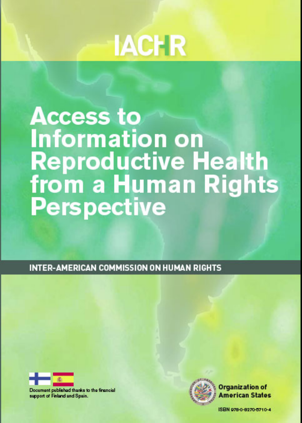# **IACHR**

# **Access to Information on Reproductive Health<br>from a Human Rights Perspective**

**INTER-AMERICAN COMMISSION ON HUMAN RIGHTS** 



Document published thanks to the financial support of Finland and Spain.



Organization of American States

ISBN 978-0-8270-0710-4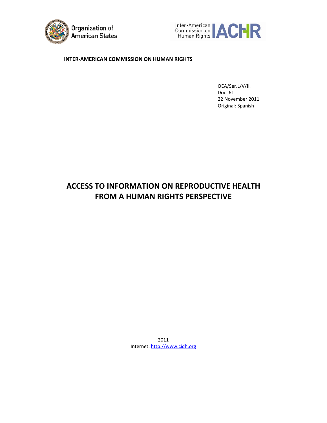



#### **INTER‐AMERICAN COMMISSION ON HUMAN RIGHTS**

OEA/Ser.L/V/II. Doc. 61 22 November 2011 Original: Spanish

## **ACCESS TO INFORMATION ON REPRODUCTIVE HEALTH FROM A HUMAN RIGHTS PERSPECTIVE**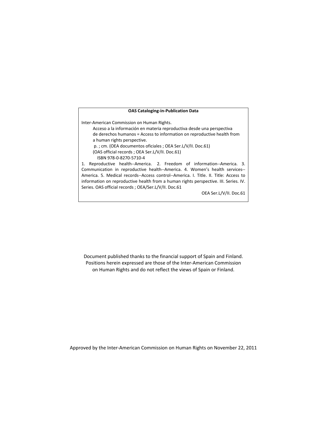#### **OAS Cataloging‐in‐Publication Data**

Inter‐American Commission on Human Rights.

Acceso a la información en materia reproductiva desde una perspectiva de derechos humanos = Access to information on reproductive health from a human rights perspective.

p. ; cm. (OEA documentos oficiales ; OEA Ser.L/V/II. Doc.61)

(OAS official records ; OEA Ser.L/V/II. Doc.61)

ISBN 978‐0‐8270‐5710‐4

1. Reproductive health--America. 2. Freedom of information--America. 3. Communication in reproductive health‐‐America. 4. Women's health services‐‐ America. 5. Medical records‐‐Access control‐‐America. I. Title. II. Title: Access to information on reproductive health from a human rights perspective. III. Series. IV. Series. OAS official records ; OEA/Ser.L/V/II. Doc.61

OEA Ser.L/V/II. Doc.61

Document published thanks to the financial support of Spain and Finland. Positions herein expressed are those of the Inter‐American Commission on Human Rights and do not reflect the views of Spain or Finland.

Approved by the Inter‐American Commission on Human Rights on November 22, 2011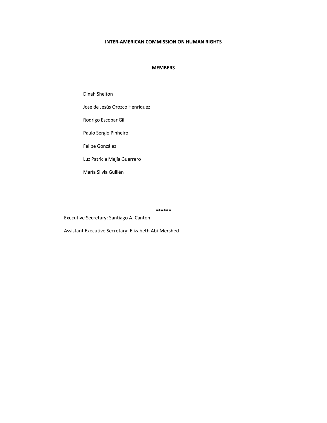#### **INTER‐AMERICAN COMMISSION ON HUMAN RIGHTS**

#### **MEMBERS**

Dinah Shelton

José de Jesús Orozco Henríquez

Rodrigo Escobar Gil

Paulo Sérgio Pinheiro

Felipe González

Luz Patricia Mejía Guerrero

María Silvia Guillén

**\*\*\*\*\*\***

Executive Secretary: Santiago A. Canton

Assistant Executive Secretary: Elizabeth Abi‐Mershed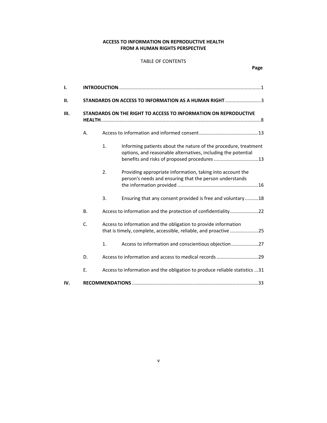#### **ACCESS TO INFORMATION ON REPRODUCTIVE HEALTH FROM A HUMAN RIGHTS PERSPECTIVE**

#### TABLE OF CONTENTS

| STANDARDS ON ACCESS TO INFORMATION AS A HUMAN RIGHT3 |                                                                                                                                     |                                                                                                                                                                                  |  |
|------------------------------------------------------|-------------------------------------------------------------------------------------------------------------------------------------|----------------------------------------------------------------------------------------------------------------------------------------------------------------------------------|--|
|                                                      |                                                                                                                                     | STANDARDS ON THE RIGHT TO ACCESS TO INFORMATION ON REPRODUCTIVE                                                                                                                  |  |
| А.                                                   |                                                                                                                                     |                                                                                                                                                                                  |  |
|                                                      | 1.                                                                                                                                  | Informing patients about the nature of the procedure, treatment<br>options, and reasonable alternatives, including the potential<br>benefits and risks of proposed procedures 13 |  |
|                                                      | 2.                                                                                                                                  | Providing appropriate information, taking into account the<br>person's needs and ensuring that the person understands                                                            |  |
|                                                      | 3.                                                                                                                                  | Ensuring that any consent provided is free and voluntary18                                                                                                                       |  |
| В.                                                   |                                                                                                                                     | Access to information and the protection of confidentiality22                                                                                                                    |  |
| C.                                                   | Access to information and the obligation to provide information<br>that is timely, complete, accessible, reliable, and proactive 25 |                                                                                                                                                                                  |  |
|                                                      | 1.                                                                                                                                  | Access to information and conscientious objection27                                                                                                                              |  |
| D.                                                   |                                                                                                                                     | Access to information and access to medical records 29                                                                                                                           |  |
| Ε.                                                   |                                                                                                                                     | Access to information and the obligation to produce reliable statistics 31                                                                                                       |  |
|                                                      |                                                                                                                                     |                                                                                                                                                                                  |  |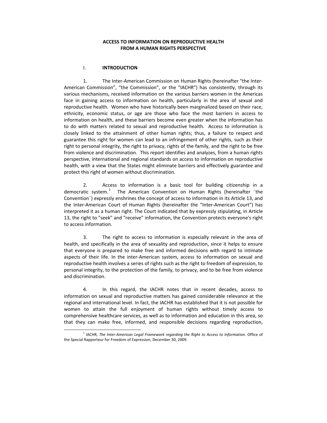#### **ACCESS TO INFORMATION ON REPRODUCTIVE HEALTH FROM A HUMAN RIGHTS PERSPECTIVE**

#### I. **INTRODUCTION**

j

1. The Inter-American Commission on Human Rights (hereinafter "the Inter-American Commission", "the Commission", or the "IACHR") has consistently, through its various mechanisms, received information on the various barriers women in the Americas face in gaining access to information on health, particularly in the area of sexual and reproductive health. Women who have historically been marginalized based on their race, ethnicity, economic status, or age are those who face the most barriers in access to information on health, and these barriers become even greater when the information has to do with matters related to sexual and reproductive health. Access to information is closely linked to the attainment of other human rights; thus, a failure to respect and guarantee this right for women can lead to an infringement of other rights, such as their right to personal integrity, the right to privacy, rights of the family, and the right to be free from violence and discrimination. This report identifies and analyzes, from a human rights perspective, international and regional standards on access to information on reproductive health, with a view that the States might eliminate barriers and effectively guarantee and protect this right of women without discrimination.

2. Access to information is a basic tool for building citizenship in a democratic system.<sup>[1](#page-5-0)</sup> The American Convention on Human Rights (hereinafter "the Convention¨) expressly enshrines the concept of access to information in its Article 13, and the Inter‐American Court of Human Rights (hereinafter the "Inter‐American Court") has interpreted it as a human right. The Court indicated that by expressly stipulating, in Article 13, the right to "seek" and "receive" information, the Convention protects everyone's right to access information.

3. The right to access to information is especially relevant in the area of health, and specifically in the area of sexuality and reproduction, since it helps to ensure that everyone is prepared to make free and informed decisions with regard to intimate aspects of their life. In the inter‐American system, access to information on sexual and reproductive health involves a series of rights such as the right to freedom of expression, to personal integrity, to the protection of the family, to privacy, and to be free from violence and discrimination.

4. In this regard, the IACHR notes that in recent decades, access to information on sexual and reproductive matters has gained considerable relevance at the regional and international level. In fact, the IACHR has established that it is not possible for women to attain the full enjoyment of human rights without timely access to comprehensive healthcare services, as well as to information and education in this area, so that they can make free, informed, and responsible decisions regarding reproduction,

<span id="page-5-0"></span><sup>1</sup> IACHR, *The Inter‐American Legal Framework regarding the Right to Access to Information*. Office of the Special Rapporteur for Freedom of Expression, December 30, 2009.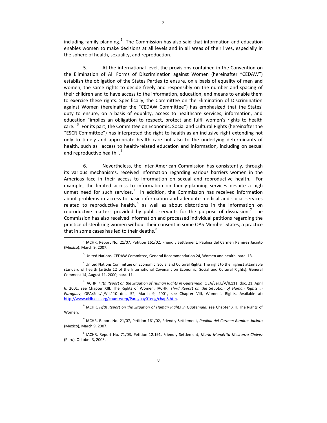including family planning. $2$  The Commission has also said that information and education enables women to make decisions at all levels and in all areas of their lives, especially in the sphere of health, sexuality, and reproduction.

5. At the international level, the provisions contained in the Convention on the Elimination of All Forms of Discrimination against Women (hereinafter "CEDAW") establish the obligation of the States Parties to ensure, on a basis of equality of men and women, the same rights to decide freely and responsibly on the number and spacing of their children and to have access to the information, education, and means to enable them to exercise these rights. Specifically, the Committee on the Elimination of Discrimination against Women (hereinafter the "CEDAW Committee") has emphasized that the States' duty to ensure, on a basis of equality, access to healthcare services, information, and education "implies an obligation to respect, protect and fulfil women's rights to health care."<sup>[3](#page-6-1)</sup> For its part, the Committee on Economic, Social and Cultural Rights (hereinafter the "ESCR Committee") has interpreted the right to health as an inclusive right extending not only to timely and appropriate health care but also to the underlying determinants of health, such as "access to health-related education and information, including on sexual and reproductive health".<sup>[4](#page-6-2)</sup>

6. Nevertheless, the Inter‐American Commission has consistently, through its various mechanisms, received information regarding various barriers women in the Americas face in their access to information on sexual and reproductive health. For example, the limited access to information on family‐planning services despite a high unmet need for such services.<sup>[5](#page-6-3)</sup> In addition, the Commission has received information about problems in access to basic information and adequate medical and social services related to reproductive health, $<sup>6</sup>$  $<sup>6</sup>$  $<sup>6</sup>$  as well as about distortions in the information on</sup> reproductive matters provided by public servants for the purpose of dissuasion.<sup>[7](#page-6-5)</sup> The Commission has also received information and processed individual petitions regarding the practice of sterilizing women without their consent in some OAS Member States, a practice that in some cases has led to their deaths.<sup>[8](#page-6-6)</sup>

 $\overline{a}$ 

<sup>3</sup> United Nations, CEDAW Committee, General Recommendation 24, Women and health, para. 13.

<sup>4</sup> United Nations Committee on Economic, Social and Cultural Rights. The right to the highest attainable standard of health (article 12 of the International Covenant on Economic, Social and Cultural Rights), General Comment 14, August 11, 2000, para. 11.

<span id="page-6-1"></span><span id="page-6-0"></span><sup>5</sup> IACHR, *Fifth Report on the Situation of Human Rights in Guatemala*, OEA/Ser.L/V/II.111, doc. 21, April 6, 2001, see Chapter XIII, The Rights of Women; IACHR, *Third Report on the Situation of Human Rights in Paraguay*, OEA/Ser./L/VII.110 doc. 52, March 9, 2001, see Chapter VIII, Women's Rights. Available at: <http://www.cidh.oas.org/countryrep/Paraguay01eng/chap8.htm>.

<span id="page-6-2"></span><sup>6</sup> IACHR, *Fifth Report on the Situation of Human Rights in Guatemala*, see Chapter XIII, The Rights of Women.

<span id="page-6-3"></span><sup>7</sup> IACHR, Report No. 21/07, Petition 161/02, Friendly Settlement, *Paulina del Carmen Ramírez Jacinto* (Mexico), March 9, 2007.

<span id="page-6-6"></span><span id="page-6-5"></span><span id="page-6-4"></span><sup>8</sup> IACHR, Report No. 71/03, Petition 12.191, Friendly Settlement, *María Mamérita Mestanza Chávez* (Peru), October 3, 2003.

 $^{2}$  IACHR, Report No. 21/07, Petition 161/02, Friendly Settlement, Paulina del Carmen Ramírez Jacinto (Mexico), March 9, 2007.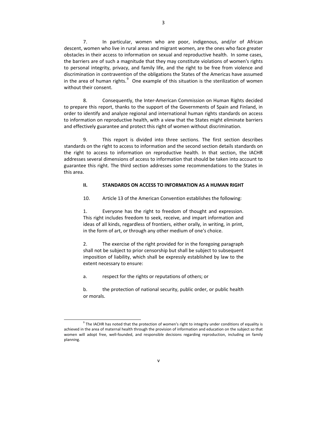7. In particular, women who are poor, indigenous, and/or of African descent, women who live in rural areas and migrant women, are the ones who face greater obstacles in their access to information on sexual and reproductive health. In some cases, the barriers are of such a magnitude that they may constitute violations of women's rights to personal integrity, privacy, and family life, and the right to be free from violence and discrimination in contravention of the obligations the States of the Americas have assumed in the area of human rights. $^{9}$  $^{9}$  $^{9}$  One example of this situation is the sterilization of women without their consent.

8. Consequently, the Inter‐American Commission on Human Rights decided to prepare this report, thanks to the support of the Governments of Spain and Finland, in order to identify and analyze regional and international human rights standards on access to information on reproductive health, with a view that the States might eliminate barriers and effectively guarantee and protect this right of women without discrimination.

9. This report is divided into three sections. The first section describes standards on the right to access to information and the second section details standards on the right to access to information on reproductive health. In that section, the IACHR addresses several dimensions of access to information that should be taken into account to guarantee this right. The third section addresses some recommendations to the States in this area.

### **II. STANDARDS ON ACCESS TO INFORMATION AS A HUMAN RIGHT**

10. Article 13 of the American Convention establishes the following:

1. Everyone has the right to freedom of thought and expression. This right includes freedom to seek, receive, and impart information and ideas of all kinds, regardless of frontiers, either orally, in writing, in print, in the form of art, or through any other medium of one's choice.

2. The exercise of the right provided for in the foregoing paragraph shall not be subject to prior censorship but shall be subject to subsequent imposition of liability, which shall be expressly established by law to the extent necessary to ensure:

a. respect for the rights or reputations of others; or

b. the protection of national security, public order, or public health or morals.

<span id="page-7-0"></span>j  $9$  The IACHR has noted that the protection of women's right to integrity under conditions of equality is achieved in the area of maternal health through the provision of information and education on the subject so that women will adopt free, well-founded, and responsible decisions regarding reproduction, including on family planning.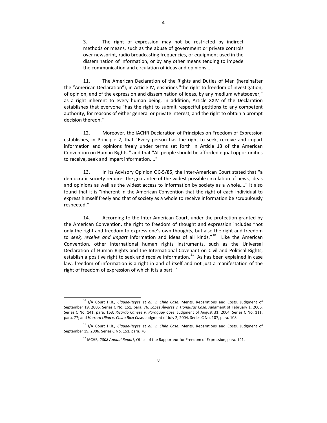3. The right of expression may not be restricted by indirect methods or means, such as the abuse of government or private controls over newsprint, radio broadcasting frequencies, or equipment used in the dissemination of information, or by any other means tending to impede the communication and circulation of ideas and opinions.....

11. The American Declaration of the Rights and Duties of Man (hereinafter the "American Declaration"), in Article IV, enshrines "the right to freedom of investigation, of opinion, and of the expression and dissemination of ideas, by any medium whatsoever," as a right inherent to every human being. In addition, Article XXIV of the Declaration establishes that everyone "has the right to submit respectful petitions to any competent authority, for reasons of either general or private interest, and the right to obtain a prompt decision thereon."

12. Moreover, the IACHR Declaration of Principles on Freedom of Expression establishes, in Principle 2, that "Every person has the right to seek, receive and impart information and opinions freely under terms set forth in Article 13 of the American Convention on Human Rights," and that "All people should be afforded equal opportunities to receive, seek and impart information...."

13. In its Advisory Opinion OC-5/85, the Inter-American Court stated that "a democratic society requires the guarantee of the widest possible circulation of news, ideas and opinions as well as the widest access to information by society as a whole...." It also found that it is "inherent in the American Convention that the right of each individual to express himself freely and that of society as a whole to receive information be scrupulously respected."

14. According to the Inter-American Court, under the protection granted by the American Convention, the right to freedom of thought and expression includes "not only the right and freedom to express one's own thoughts, but also the right and freedom to *seek, receive and impart* information and ideas of all kinds."[10](#page-8-0) Like the American Convention, other international human rights instruments, such as the Universal Declaration of Human Rights and the International Covenant on Civil and Political Rights, establish a positive right to seek and receive information.<sup>[11](#page-8-1)</sup> As has been explained in case law, freedom of information is a right in and of itself and not just a manifestation of the right of freedom of expression of which it is a part.<sup>[12](#page-8-2)</sup>

<sup>10</sup> I/A Court H.R., *Claude‐Reyes et al. v. Chile Case*. Merits, Reparations and Costs. Judgment of September 19, 2006. Series C No. 151, para. 76. *López Álvarez v. Honduras Case*. Judgment of February 1, 2006. Series C No. 141, para. 163; *Ricardo Canese v. Paraguay Case*. Judgment of August 31, 2004. Series C No. 111, para. 77; and *Herrera Ulloa v. Costa Rica Case*. Judgment of July 2, 2004. Series C No. 107, para. 108.

<span id="page-8-2"></span><span id="page-8-1"></span><span id="page-8-0"></span><sup>11</sup> I/A Court H.R., *Claude‐Reyes et al. v. Chile Case*. Merits, Reparations and Costs. Judgment of September 19, 2006. Series C No. 151, para. 76.

<sup>12</sup> IACHR, *2008 Annual Report*, Office of the Rapporteur for Freedom of Expression, para. 141.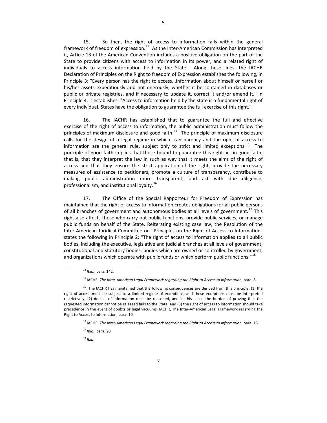15. So then, the right of access to information falls within the general framework of freedom of expression.<sup>[13](#page-9-0)</sup> As the Inter-American Commission has interpreted it, Article 13 of the American Convention includes a positive obligation on the part of the State to provide citizens with access to information in its power, and a related right of individuals to access information held by the State. Along these lines, the IACHR Declaration of Principles on the Right to freedom of Expression establishes the following, in Principle 3: "Every person has the right to access...information about himself or herself or his/her assets expeditiously and not onerously, whether it be contained in databases or public or private registries, and if necessary to update it, correct it and/or amend it." In Principle 4, it establishes: "Access to information held by the state is a fundamental right of every individual. States have the obligation to guarantee the full exercise of this right."

16. The IACHR has established that to guarantee the full and effective exercise of the right of access to information, the public administration must follow the principles of maximum disclosure and good faith. $14$  The principle of maximum disclosure calls for the design of a legal regime in which transparency and the right of access to information are the general rule, subject only to strict and limited exceptions.<sup>[15](#page-9-2)</sup> The principle of good faith implies that those bound to guarantee this right act in good faith; that is, that they interpret the law in such as way that it meets the aims of the right of access and that they ensure the strict application of the right, provide the necessary measures of assistance to petitioners, promote a culture of transparency, contribute to making public administration more transparent, and act with due diligence, professionalism, and institutional lovalty.<sup>[16](#page-9-3)</sup>

17. The Office of the Special Rapporteur for Freedom of Expression has maintained that the right of access to information creates obligations for all public persons of all branches of government and autonomous bodies at all levels of government.<sup>[17](#page-9-4)</sup> This right also affects those who carry out public functions, provide public services, or manage public funds on behalf of the State. Reiterating existing case law, the Resolution of the Inter-American Juridical Committee on "Principles on the Right of Access to Information" states the following in Principle 2: "The right of access to information applies to all public bodies, including the executive, legislative and judicial branches at all levels of government, constitutional and statutory bodies, bodies which are owned or controlled by government, and organizations which operate with public funds or which perform public functions."<sup>[18](#page-9-5)</sup>

<sup>13</sup> *Ibid.*, para. 142.

<sup>14</sup> IACHR, *The Inter‐American Legal Framework regarding the Right to Access to Information*, para. 8.

<span id="page-9-2"></span><span id="page-9-1"></span><span id="page-9-0"></span><sup>&</sup>lt;sup>15</sup> The IACHR has maintained that the following consequences are derived from this principle: (1) the right of access must be subject to a limited regime of exceptions, and these exceptions must be interpreted restrictively; (2) denials of information must be reasoned, and in this sense the burden of proving that the requested information cannot be released falls to the State; and (3) the right of access to information should take precedence in the event of doubts or legal vacuums. IACHR, The Inter‐American Legal Framework regarding the Right to Access to Information, para. 10.

<sup>16</sup> IACHR, *The Inter‐American Legal Framework regarding the Right to Access to Information*, para. 15.

<sup>17</sup> *Ibid.*, para. 20.

<span id="page-9-5"></span><span id="page-9-4"></span><span id="page-9-3"></span><sup>18</sup> *Ibid.*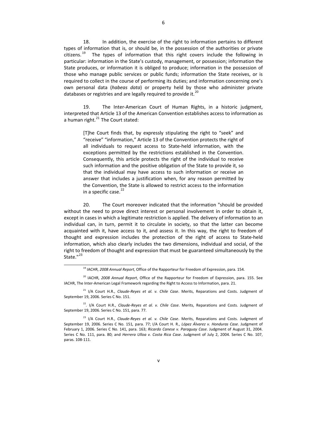18. In addition, the exercise of the right to information pertains to different types of information that is, or should be, in the possession of the authorities or private citizens.<sup>[19](#page-10-0)</sup> The types of information that this right covers include the following in particular: information in the State's custody, management, or possession; information the State produces, or information it is obliged to produce; information in the possession of those who manage public services or public funds; information the State receives, or is required to collect in the course of performing its duties; and information concerning one's own personal data (*habeas data*) or property held by those who administer private

19. The Inter-American Court of Human Rights, in a historic judgment, interpreted that Article 13 of the American Convention establishes access to information as a human right. $^{21}$  $^{21}$  $^{21}$  The Court stated:

databases or registries and are legally required to provide it.<sup>[20](#page-10-1)</sup>

[T]he Court finds that, by expressly stipulating the right to "seek" and "receive" "information," Article 13 of the Convention protects the right of all individuals to request access to State‐held information, with the exceptions permitted by the restrictions established in the Convention. Consequently, this article protects the right of the individual to receive such information and the positive obligation of the State to provide it, so that the individual may have access to such information or receive an answer that includes a justification when, for any reason permitted by the Convention, the State is allowed to restrict access to the information in a specific case. $^{22}$  $^{22}$  $^{22}$ 

20. The Court moreover indicated that the information "should be provided without the need to prove direct interest or personal involvement in order to obtain it, except in cases in which a legitimate restriction is applied. The delivery of information to an individual can, in turn, permit it to circulate in society, so that the latter can become acquainted with it, have access to it, and assess it. In this way, the right to freedom of thought and expression includes the protection of the right of access to State‐held information, which also clearly includes the two dimensions, individual and social, of the right to freedom of thought and expression that must be guaranteed simultaneously by the State."<sup>[23](#page-10-4)</sup>

<sup>19</sup> IACHR, *2008 Annual Report*, Office of the Rapporteur for Freedom of Expression, para. 154.

<sup>20</sup> IACHR, *2008 Annual Report*, Office of the Rapporteur for Freedom of Expression, para. 155. See IACHR, The Inter‐American Legal Framework regarding the Right to Access to Information, para. 21.

<sup>21</sup> I/A Court H.R., *Claude‐Reyes et al. v. Chile Case*. Merits, Reparations and Costs. Judgment of September 19, 2006. Series C No. 151.

<span id="page-10-0"></span><sup>22</sup>*.* I/A Court H.R., *Claude‐Reyes et al. v. Chile Case*. Merits, Reparations and Costs. Judgment of September 19, 2006. Series C No. 151, para. 77.

<span id="page-10-4"></span><span id="page-10-3"></span><span id="page-10-2"></span><span id="page-10-1"></span><sup>23</sup> I/A Court H.R., *Claude‐Reyes et al. v. Chile Case*. Merits, Reparations and Costs. Judgment of September 19, 2006. Series C No. 151*,* para. 77; I/A Court H. R., *López Álvarez v. Honduras Case*. Judgment of February 1, 2006. Series C No. 141, para. 163; *Ricardo Canese v. Paraguay Case*. Judgment of August 31, 2004. Series C No. 111, para. 80; and *Herrera Ulloa v. Costa Rica Case*. Judgment of July 2, 2004. Series C No. 107, paras. 108‐111.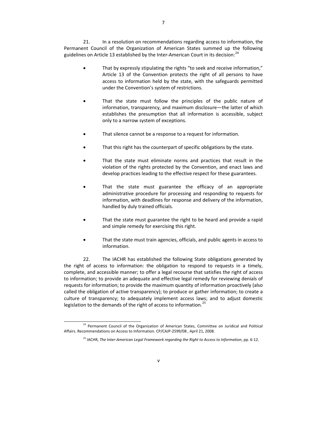21. In a resolution on recommendations regarding access to information, the Permanent Council of the Organization of American States summed up the following guidelines on Article 13 established by the Inter-American Court in its decision:<sup>[24](#page-11-0)</sup>

- That by expressly stipulating the rights "to seek and receive information," Article 13 of the Convention protects the right of all persons to have access to information held by the state, with the safeguards permitted under the Convention's system of restrictions.
- That the state must follow the principles of the public nature of information, transparency, and maximum disclosure—the latter of which establishes the presumption that all information is accessible, subject only to a narrow system of exceptions.
- That silence cannot be a response to a request for information.
- That this right has the counterpart of specific obligations by the state.
- That the state must eliminate norms and practices that result in the violation of the rights protected by the Convention, and enact laws and develop practices leading to the effective respect for these guarantees.
- That the state must guarantee the efficacy of an appropriate administrative procedure for processing and responding to requests for information, with deadlines for response and delivery of the information, handled by duly trained officials.
- That the state must guarantee the right to be heard and provide a rapid and simple remedy for exercising this right.
- That the state must train agencies, officials, and public agents in access to information.

22. The IACHR has established the following State obligations generated by the right of access to information: the obligation to respond to requests in a timely, complete, and accessible manner; to offer a legal recourse that satisfies the right of access to information; to provide an adequate and effective legal remedy for reviewing denials of requests for information; to provide the maximum quantity of information proactively (also called the obligation of active transparency); to produce or gather information; to create a culture of transparency; to adequately implement access laws; and to adjust domestic legislation to the demands of the right of access to information.<sup>[25](#page-11-1)</sup>

<span id="page-11-1"></span><span id="page-11-0"></span><sup>&</sup>lt;sup>24</sup> Permanent Council of the Organization of American States, Committee on Juridical and Political Affairs. Recommendations on Access to Information. CP/CAJP‐2599/08 , April 21, 2008.

<sup>25</sup> IACHR, *The Inter‐American Legal Framework regarding the Right to Access to Information*, pp. 6‐12.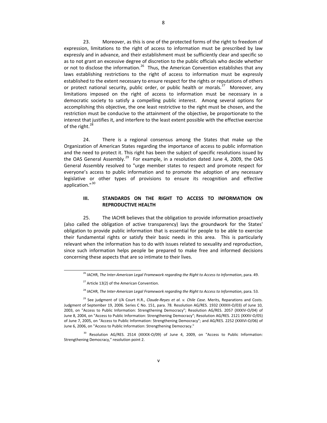23. Moreover, as this is one of the protected forms of the right to freedom of expression, limitations to the right of access to information must be prescribed by law expressly and in advance, and their establishment must be sufficiently clear and specific so as to not grant an excessive degree of discretion to the public officials who decide whether or not to disclose the information.<sup>[26](#page-12-0)</sup> Thus, the American Convention establishes that any laws establishing restrictions to the right of access to information must be expressly established to the extent necessary to ensure respect for the rights or reputations of others or protect national security, public order, or public health or morals.<sup>[27](#page-12-1)</sup> Moreover, any limitations imposed on the right of access to information must be necessary in a democratic society to satisfy a compelling public interest. Among several options for accomplishing this objective, the one least restrictive to the right must be chosen, and the restriction must be conducive to the attainment of the objective, be proportionate to the interest that justifies it, and interfere to the least extent possible with the effective exercise of the right. $^{28}$  $^{28}$  $^{28}$ 

24. There is a regional consensus among the States that make up the Organization of American States regarding the importance of access to public information and the need to protect it. This right has been the subject of specific resolutions issued by the OAS General Assembly.<sup>[29](#page-12-3)</sup> For example, in a resolution dated June 4, 2009, the OAS General Assembly resolved to "urge member states to respect and promote respect for everyone's access to public information and to promote the adoption of any necessary legislative or other types of provisions to ensure its recognition and effective application."<sup>[30](#page-12-4)</sup>

#### **III. STANDARDS ON THE RIGHT TO ACCESS TO INFORMATION ON REPRODUCTIVE HEALTH**

25. The IACHR believes that the obligation to provide information proactively (also called the obligation of active transparency) lays the groundwork for the States' obligation to provide public information that is essential for people to be able to exercise their fundamental rights or satisfy their basic needs in this area. This is particularly relevant when the information has to do with issues related to sexuality and reproduction, since such information helps people be prepared to make free and informed decisions concerning these aspects that are so intimate to their lives.

<sup>26</sup> IACHR, *The Inter‐American Legal Framework regarding the Right to Access to Information*, para. 49.

 $27$  Article 13(2) of the American Convention.

<sup>28</sup> IACHR, *The Inter‐American Legal Framework regarding the Right to Access to Information*, para. 53.

<span id="page-12-1"></span><span id="page-12-0"></span><sup>29</sup> See judgment of I/A Court H.R., *Claude‐Reyes et al. v. Chile Case*. Merits, Reparations and Costs. Judgment of September 19, 2006. Series C No. 151, para. 78. Resolution AG/RES. 1932 (XXXIII‐O/03) of June 10, 2003, on "Access to Public Information: Strengthening Democracy"; Resolution AG/RES. 2057 (XXXIV‐O/04) of June 8, 2004, on "Access to Public Information: Strengthening Democracy"; Resolution AG/RES. 2121 (XXXV‐O/05) of June 7, 2005, on "Access to Public Information: Strengthening Democracy"; and AG/RES. 2252 (XXXVI‐O/06) of June 6, 2006, on "Access to Public Information: Strengthening Democracy."

<span id="page-12-4"></span><span id="page-12-3"></span><span id="page-12-2"></span><sup>&</sup>lt;sup>30</sup> Resolution AG/RES. 2514 (XXXIX-O/09) of June 4, 2009, on "Access to Public Information: Strengthening Democracy," resolution point 2.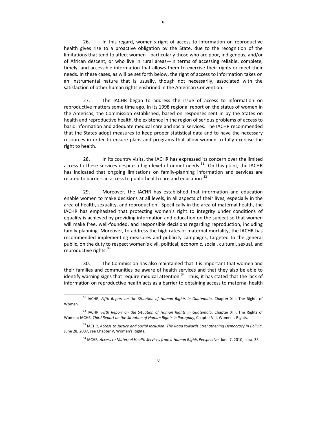26. In this regard, women's right of access to information on reproductive health gives rise to a proactive obligation by the State, due to the recognition of the limitations that tend to affect women—particularly those who are poor, indigenous, and/or of African descent, or who live in rural areas—in terms of accessing reliable, complete, timely, and accessible information that allows them to exercise their rights or meet their needs. In these cases, as will be set forth below, the right of access to information takes on an instrumental nature that is usually, though not necessarily, associated with the satisfaction of other human rights enshrined in the American Convention.

27. The IACHR began to address the issue of access to information on reproductive matters some time ago. In its 1998 regional report on the status of women in the Americas, the Commission established, based on responses sent in by the States on health and reproductive health, the existence in the region of serious problems of access to basic information and adequate medical care and social services. The IACHR recommended that the States adopt measures to keep proper statistical data and to have the necessary resources in order to ensure plans and programs that allow women to fully exercise the right to health.

28. In its country visits, the IACHR has expressed its concern over the limited access to these services despite a high level of unmet needs. $31$  On this point, the IACHR has indicated that ongoing limitations on family‐planning information and services are related to barriers in access to public health care and education.<sup>[32](#page-13-1)</sup>

29. Moreover, the IACHR has established that information and education enable women to make decisions at all levels, in all aspects of their lives, especially in the area of health, sexuality, and reproduction. Specifically in the area of maternal health, the IACHR has emphasized that protecting women's right to integrity under conditions of equality is achieved by providing information and education on the subject so that women will make free, well‐founded, and responsible decisions regarding reproduction, including family planning. Moreover, to address the high rates of maternal mortality, the IACHR has recommended implementing measures and publicity campaigns, targeted to the general public, on the duty to respect women's civil, political, economic, social, cultural, sexual, and reproductive rights.<sup>[33](#page-13-2)</sup>

30. The Commission has also maintained that it is important that women and their families and communities be aware of health services and that they also be able to identify warning signs that require medical attention.<sup>[34](#page-13-3)</sup> Thus, it has stated that the lack of information on reproductive health acts as a barrier to obtaining access to maternal health

<sup>31</sup> IACHR, *Fifth Report on the Situation of Human Rights in Guatemala*, Chapter XIII, The Rights of Women.

<sup>32</sup> IACHR, *Fifth Report on the Situation of Human Rights in Guatemala*, Chapter XIII, The Rights of Women; IACHR, *Third Report on the Situation of Human Rights in Paraguay*, Chapter VIII, Women's Rights.

<span id="page-13-3"></span><span id="page-13-2"></span><span id="page-13-1"></span><span id="page-13-0"></span><sup>33</sup> IACHR, *Access to Justice and Social Inclusion: The Road towards Strengthening Democracy in Bolivia*, June 28, 2007, see Chapter V, Women's Rights.

<sup>34</sup> IACHR, *Access to Maternal Health Services from a Human Rights Perspective*, June 7, 2010, para. 33.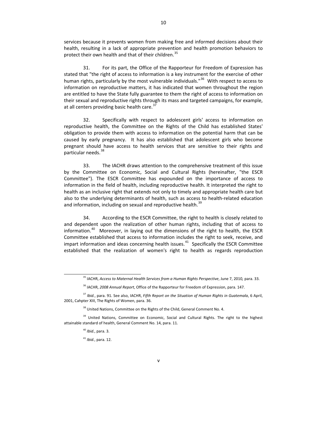services because it prevents women from making free and informed decisions about their health, resulting in a lack of appropriate prevention and health promotion behaviors to protect their own health and that of their children.<sup>[35](#page-14-0)</sup>

31. For its part, the Office of the Rapporteur for Freedom of Expression has stated that "the right of access to information is a key instrument for the exercise of other human rights, particularly by the most vulnerable individuals."<sup>[36](#page-14-1)</sup> With respect to access to information on reproductive matters, it has indicated that women throughout the region are entitled to have the State fully guarantee to them the right of access to information on their sexual and reproductive rights through its mass and targeted campaigns, for example, at all centers providing basic health care.  $37$ 

32. Specifically with respect to adolescent girls' access to information on reproductive health, the Committee on the Rights of the Child has established States' obligation to provide them with access to information on the potential harm that can be caused by early pregnancy. It has also established that adolescent girls who become pregnant should have access to health services that are sensitive to their rights and particular needs.<sup>[38](#page-14-3)</sup>

33. The IACHR draws attention to the comprehensive treatment of this issue by the Committee on Economic, Social and Cultural Rights (hereinafter, "the ESCR Committee"). The ESCR Committee has expounded on the importance of access to information in the field of health, including reproductive health. It interpreted the right to health as an inclusive right that extends not only to timely and appropriate health care but also to the underlying determinants of health, such as access to health‐related education and information, including on sexual and reproductive health.<sup>[39](#page-14-4)</sup>

34. According to the ESCR Committee, the right to health is closely related to and dependent upon the realization of other human rights, including that of access to information. $40$  Moreover, in laying out the dimensions of the right to health, the ESCR Committee established that access to information includes the right to seek, receive, and impart information and ideas concerning health issues. $41$  Specifically the ESCR Committee established that the realization of women's right to health as regards reproduction

<sup>35</sup> IACHR, *Access to Maternal Health Services from a Human Rights Perspective*, June 7, 2010*,* para. 33.

<sup>36</sup> IACHR, *2008 Annual Report*, Office of the Rapporteur for Freedom of Expression, para. 147.

<sup>37</sup> *Ibid.*, para. 91. See also, IACHR, *Fifth Report on the Situation of Human Rights in Guatemala*, 6 April, 2001, Cahpter XIII, The Rights of Women, para. 36.

<sup>&</sup>lt;sup>38</sup> United Nations, Committee on the Rights of the Child, General Comment No. 4.

<span id="page-14-6"></span><span id="page-14-5"></span><span id="page-14-4"></span><span id="page-14-3"></span><span id="page-14-2"></span><span id="page-14-1"></span><span id="page-14-0"></span><sup>&</sup>lt;sup>39</sup> United Nations, Committee on Economic, Social and Cultural Rights. The right to the highest attainable standard of health, General Comment No. 14, para. 11.

<sup>40</sup> *Ibid.*, para. 3.

<sup>41</sup> *Ibid.*, para. 12.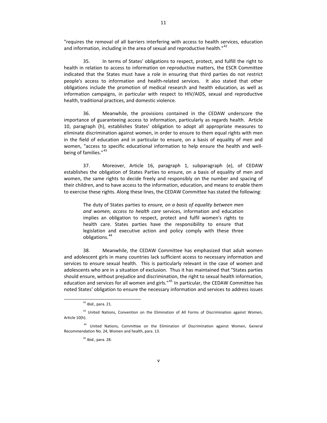"requires the removal of all barriers interfering with access to health services, education and information, including in the area of sexual and reproductive health." $42$ 

35. In terms of States' obligations to respect, protect, and fulfill the right to health in relation to access to information on reproductive matters, the ESCR Committee indicated that the States must have a role in ensuring that third parties do not restrict people's access to information and health-related services. It also stated that other obligations include the promotion of medical research and health education, as well as information campaigns, in particular with respect to HIV/AIDS, sexual and reproductive health, traditional practices, and domestic violence.

36. Meanwhile, the provisions contained in the CEDAW underscore the importance of guaranteeing access to information, particularly as regards health. Article 10, paragraph (h), establishes States' obligation to adopt all appropriate measures to eliminate discrimination against women, in order to ensure to them equal rights with men in the field of education and in particular to ensure, on a basis of equality of men and women, "access to specific educational information to help ensure the health and well-being of families."<sup>[43](#page-15-1)</sup>

37. Moreover, Article 16, paragraph 1, subparagraph (e), of CEDAW establishes the obligation of States Parties to ensure, on a basis of equality of men and women, the same rights to decide freely and responsibly on the number and spacing of their children, and to have access to the information, education, and means to enable them to exercise these rights. Along these lines, the CEDAW Committee has stated the following:

The duty of States parties to *ensure, on a basis of equality between men and women, access to health care* services, information and education implies an obligation to respect, protect and fulfil women's rights to health care. States parties have the responsibility to ensure that legislation and executive action and policy comply with these three obligations.[44](#page-15-2)

38. Meanwhile, the CEDAW Committee has emphasized that adult women and adolescent girls in many countries lack sufficient access to necessary information and services to ensure sexual health. This is particularly relevant in the case of women and adolescents who are in a situation of exclusion. Thus it has maintained that "States parties should ensure, without prejudice and discrimination, the right to sexual health information, education and services for all women and girls."<sup>[45](#page-15-3)</sup> In particular, the CEDAW Committee has noted States' obligation to ensure the necessary information and services to address issues

<sup>42</sup> *Ibid.*, para. 21.

<sup>&</sup>lt;sup>43</sup> United Nations, Convention on the Elimination of All Forms of Discrimination against Women, Article 10(h).

<span id="page-15-3"></span><span id="page-15-2"></span><span id="page-15-1"></span><span id="page-15-0"></span><sup>&</sup>lt;sup>44</sup> United Nations, Committee on the Elimination of Discrimination against Women, General Recommendation No. 24, Women and health, para. 13.

<sup>45</sup> *Ibid.*, para. 28.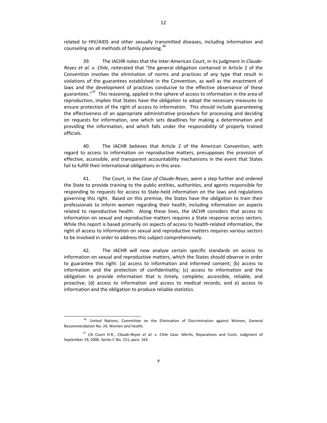12

related to HIV/AIDS and other sexually transmitted diseases, including information and counseling on all methods of family planning.<sup>[46](#page-16-0)</sup>

39. The IACHR notes that the Inter‐American Court, in its judgment in *Claude‐ Reyes et al. v. Chile*, reiterated that "the general obligation contained in Article 2 of the Convention involves the elimination of norms and practices of any type that result in violations of the guarantees established in the Convention, as well as the enactment of laws and the development of practices conducive to the effective observance of these guarantees."<sup>[47](#page-16-1)</sup> This reasoning, applied in the sphere of access to information in the area of reproduction, implies that States have the obligation to adopt the necessary measures to ensure protection of the right of access to information. This should include guaranteeing the effectiveness of an appropriate administrative procedure for processing and deciding on requests for information, one which sets deadlines for making a determination and providing the information, and which falls under the responsibility of properly trained officials.

40. The IACHR believes that Article 2 of the American Convention, with regard to access to information on reproductive matters, presupposes the provision of effective, accessible, and transparent accountability mechanisms in the event that States fail to fulfill their international obligations in this area.

41. The Court, in the *Case of Claude‐Reyes*, went a step further and ordered the State to provide training to the public entities, authorities, and agents responsible for responding to requests for access to State‐held information on the laws and regulations governing this right. Based on this premise, the States have the obligation to train their professionals to inform women regarding their health, including information on aspects related to reproductive health. Along these lines, the IACHR considers that access to information on sexual and reproductive matters requires a State response across sectors. While this report is based primarily on aspects of access to health‐related information, the right of access to information on sexual and reproductive matters requires various sectors to be involved in order to address this subject comprehensively.

42. The IACHR will now analyze certain specific standards on access to information on sexual and reproductive matters, which the States should observe in order to guarantee this right: (a) access to information and informed consent; (b) access to information and the protection of confidentiality; (c) access to information and the obligation to provide information that is timely, complete, accessible, reliable, and proactive; (d) access to information and access to medical records; and e) access to information and the obligation to produce reliable statistics.

<sup>46</sup> United Nations, Committee on the Elimination of Discrimination against Women, General Recommendation No. 24, Women and health.

<span id="page-16-1"></span><span id="page-16-0"></span><sup>47</sup> I/A Court H.R., *Claude‐Reyes et al. v. Chile Case*. Merits, Reparations and Costs. Judgment of September 19, 2006. Series C No. 151, para. 163.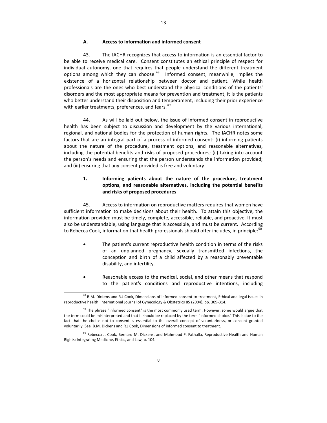## **A. Access to information and informed consent**

43. The IACHR recognizes that access to information is an essential factor to be able to receive medical care. Consent constitutes an ethical principle of respect for individual autonomy, one that requires that people understand the different treatment options among which they can choose. $48$  Informed consent, meanwhile, implies the existence of a horizontal relationship between doctor and patient. While health professionals are the ones who best understand the physical conditions of the patients' disorders and the most appropriate means for prevention and treatment, it is the patients who better understand their disposition and temperament, including their prior experience with earlier treatments, preferences, and fears.<sup>[49](#page-17-1)</sup>

13

44. As will be laid out below, the issue of informed consent in reproductive health has been subject to discussion and development by the various international, regional, and national bodies for the protection of human rights. The IACHR notes some factors that are an integral part of a process of informed consent: (i) informing patients about the nature of the procedure, treatment options, and reasonable alternatives, including the potential benefits and risks of proposed procedures; (ii) taking into account the person's needs and ensuring that the person understands the information provided; and (iii) ensuring that any consent provided is free and voluntary.

### **1. Informing patients about the nature of the procedure, treatment options, and reasonable alternatives, including the potential benefits and risks of proposed procedures**

45. Access to information on reproductive matters requires that women have sufficient information to make decisions about their health. To attain this objective, the information provided must be timely, complete, accessible, reliable, and proactive. It must also be understandable, using language that is accessible, and must be current. According to Rebecca Cook, information that health professionals should offer includes, in principle: $50$ 

- The patient's current reproductive health condition in terms of the risks of an unplanned pregnancy, sexually transmitted infections, the conception and birth of a child affected by a reasonably preventable disability, and infertility.
- Reasonable access to the medical, social, and other means that respond to the patient's conditions and reproductive intentions, including

 $\overline{a}$ <sup>48</sup> B.M. Dickens and R.J Cook, Dimensions of informed consent to treatment, Ethical and legal issues in reproductive health. International Journal of Gynecology & Obstetrics 85 (2004), pp. 309‐314.

 $49$  The phrase "informed consent" is the most commonly used term. However, some would argue that the term could be misinterpreted and that it should be replaced by the term "informed choice." This is due to the fact that the choice not to consent is essential to the overall concept of voluntariness, or consent granted voluntarily. See B.M. Dickens and R.J Cook, Dimensions of informed consent to treatment.

<span id="page-17-2"></span><span id="page-17-1"></span><span id="page-17-0"></span><sup>&</sup>lt;sup>50</sup> Rebecca J. Cook, Bernard M. Dickens, and Mahmoud F. Fathalla, Reproductive Health and Human Rights: Integrating Medicine, Ethics, and Law, p. 104.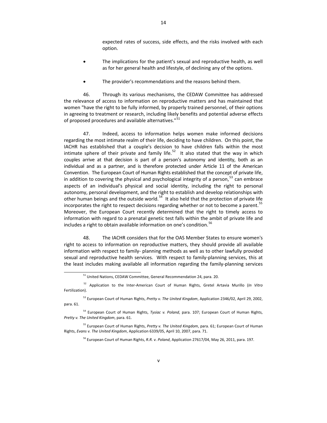expected rates of success, side effects, and the risks involved with each option.

- The implications for the patient's sexual and reproductive health, as well as for her general health and lifestyle, of declining any of the options.
- The provider's recommendations and the reasons behind them.

46. Through its various mechanisms, the CEDAW Committee has addressed the relevance of access to information on reproductive matters and has maintained that women "have the right to be fully informed, by properly trained personnel, of their options in agreeing to treatment or research, including likely benefits and potential adverse effects of proposed procedures and available alternatives."<sup>[51](#page-18-0)</sup>

47. Indeed, access to information helps women make informed decisions regarding the most intimate realm of their life, deciding to have children. On this point, the IACHR has established that a couple's decision to have children falls within the most intimate sphere of their private and family life.<sup>[52](#page-18-1)</sup> It also stated that the way in which couples arrive at that decision is part of a person's autonomy and identity, both as an individual and as a partner, and is therefore protected under Article 11 of the American Convention. The European Court of Human Rights established that the concept of private life, in addition to covering the physical and psychological integrity of a person, $53$  can embrace aspects of an individual's physical and social identity, including the right to personal autonomy, personal development, and the right to establish and develop relationships with other human beings and the outside world.<sup>[54](#page-18-3)</sup> It also held that the protection of private life incorporates the right to respect decisions regarding whether or not to become a parent.<sup>[55](#page-18-4)</sup> Moreover, the European Court recently determined that the right to timely access to information with regard to a prenatal genetic test falls within the ambit of private life and includes a right to obtain available information on one's condition.<sup>[56](#page-18-5)</sup>

48. The IACHR considers that for the OAS Member States to ensure women's right to access to information on reproductive matters, they should provide all available information with respect to family‐ planning methods as well as to other lawfully provided sexual and reproductive health services. With respect to family-planning services, this at the least includes making available all information regarding the family‐planning services

<sup>51</sup> United Nations, CEDAW Committee, General Recommendation 24, para. 20.

<sup>52</sup> Application to the Inter‐American Court of Human Rights, Gretel Artavia Murillo (*In Vitro* Fertilization).

<sup>53</sup> European Court of Human Rights, *Pretty v. The United Kingdom*, Application 2346/02, April 29, 2002, para. 61.

<span id="page-18-1"></span><span id="page-18-0"></span><sup>54</sup> European Court of Human Rights, *Tysiac v. Poland*, para. 107; European Court of Human Rights, *Pretty v. The United Kingdom*, para. 61.

<span id="page-18-5"></span><span id="page-18-4"></span><span id="page-18-3"></span><span id="page-18-2"></span><sup>55</sup> European Court of Human Rights, *Pretty v. The United Kingdom*, para. 61; European Court of Human Rights, *Evans v. The United Kingdom*, Application 6339/05, April 10, 2007, para. 71.

<sup>56</sup> European Court of Human Rights, *R.R. v. Poland*, Application 27617/04, May 26, 2011, para. 197.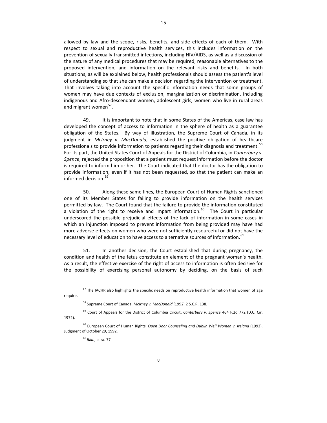allowed by law and the scope, risks, benefits, and side effects of each of them. With respect to sexual and reproductive health services, this includes information on the prevention of sexually transmitted infections, including HIV/AIDS, as well as a discussion of the nature of any medical procedures that may be required, reasonable alternatives to the proposed intervention, and information on the relevant risks and benefits. In both situations, as will be explained below, health professionals should assess the patient's level of understanding so that she can make a decision regarding the intervention or treatment. That involves taking into account the specific information needs that some groups of women may have due contexts of exclusion, marginalization or discrimination, including indigenous and Afro‐descendant women, adolescent girls, women who live in rural areas and migrant women<sup>[57](#page-19-0)</sup>.

49. It is important to note that in some States of the Americas, case law has developed the concept of access to information in the sphere of health as a guarantee obligation of the States. By way of illustration, the Supreme Court of Canada, in its judgment in *McIrney v. MacDonald*, established the positive obligation of healthcare professionals to provide information to patients regarding their diagnosis and treatment.<sup>[58](#page-19-1)</sup> For its part, the United States Court of Appeals for the District of Columbia, in *Canterbury v. Spence*, rejected the proposition that a patient must request information before the doctor is required to inform him or her. The Court indicated that the doctor has the obligation to provide information, even if it has not been requested, so that the patient can make an informed decision.<sup>[59](#page-19-2)</sup>

50. Along these same lines, the European Court of Human Rights sanctioned one of its Member States for failing to provide information on the health services permitted by law. The Court found that the failure to provide the information constituted a violation of the right to receive and impart information.<sup>[60](#page-19-3)</sup> The Court in particular underscored the possible prejudicial effects of the lack of information in some cases in which an injunction imposed to prevent information from being provided may have had more adverse effects on women who were not sufficiently resourceful or did not have the necessary level of education to have access to alternative sources of information. <sup>[61](#page-19-4)</sup>

51. In another decision, the Court established that during pregnancy, the condition and health of the fetus constitute an element of the pregnant woman's health. As a result, the effective exercise of the right of access to information is often decisive for the possibility of exercising personal autonomy by deciding, on the basis of such

<sup>61</sup> *Ibid.*, para. 77.

 $\overline{a}$ <sup>57</sup> The IACHR also highlights the specific needs on reproductive health information that women of age require.

<sup>58</sup> Supreme Court of Canada, *McIrney v. MacDonald* [1992] 2 S.C.R. 138.

<sup>59</sup> Court of Appeals for the District of Columbia Circuit, *Canterbury v. Spence* 464 F.2d 772 (D.C. Cir. 1972).

<span id="page-19-4"></span><span id="page-19-3"></span><span id="page-19-2"></span><span id="page-19-1"></span><span id="page-19-0"></span><sup>60</sup> European Court of Human Rights, *Open Door Counseling and Dublin Well Women v. Ireland* (1992). Judgment of October 29, 1992.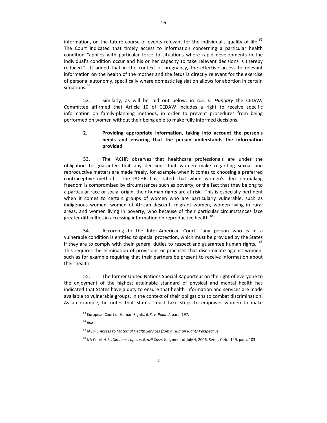information, on the future course of events relevant for the individual's quality of life.<sup>[62](#page-20-0)</sup> The Court indicated that timely access to information concerning a particular health condition "applies with particular force to situations where rapid developments in the individual's condition occur and his or her capacity to take relevant decisions is thereby reduced." It added that in the context of pregnancy, the effective access to relevant information on the health of the mother and the fetus is directly relevant for the exercise of personal autonomy, specifically where domestic legislation allows for abortion in certain situations. [63](#page-20-1)

52. Similarly, as will be laid out below, in *A.S. v. Hungary* the CEDAW Committee affirmed that Article 10 of CEDAW includes a right to receive specific information on family‐planning methods, in order to prevent procedures from being performed on women without their being able to make fully informed decisions.

### **2. Providing appropriate information, taking into account the person's needs and ensuring that the person understands the information provided**

53. The IACHR observes that healthcare professionals are under the obligation to guarantee that any decisions that women make regarding sexual and reproductive matters are made freely, for example when it comes to choosing a preferred contraceptive method. The IACHR has stated that when women's decision‐making freedom is compromised by circumstances such as poverty, or the fact that they belong to a particular race or social origin, their human rights are at risk. This is especially pertinent when it comes to certain groups of women who are particularly vulnerable, such as indigenous women, women of African descent, migrant women, women living in rural areas, and women living in poverty, who because of their particular circumstances face greater difficulties in accessing information on reproductive health.<sup>[64](#page-20-2)</sup>

54. According to the Inter-American Court, "any person who is in a vulnerable condition is entitled to special protection, which must be provided by the States if they are to comply with their general duties to respect and guarantee human rights."<sup>[65](#page-20-3)</sup> This requires the elimination of provisions or practices that discriminate against women, such as for example requiring that their partners be present to receive information about their health.

55. The former United Nations Special Rapporteur on the right of everyone to the enjoyment of the highest attainable standard of physical and mental health has indicated that States have a duty to ensure that health information and services are made available to vulnerable groups, in the context of their obligations to combat discrimination. As an example, he notes that States "must take steps to empower women to make

<sup>62</sup> European Court of Human Rights, *R.R. v. Poland*, para. 197.

<sup>63</sup> *Ibid.*

<sup>64</sup> IACHR, *Access to Maternal Health Services from a Human Rights Perspective*.

<span id="page-20-3"></span><span id="page-20-2"></span><span id="page-20-1"></span><span id="page-20-0"></span><sup>65</sup> I/A Court H.R., *Ximenes Lopes v. Brazil Case*. Judgment of July 4, 2006. Series C No. 149, para. 103.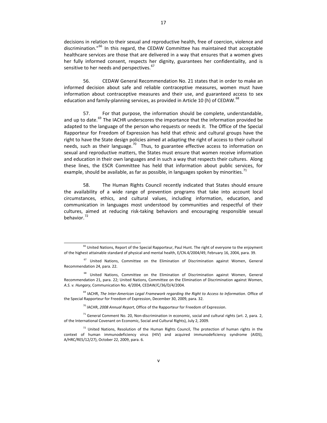decisions in relation to their sexual and reproductive health, free of coercion, violence and discrimination."<sup>[66](#page-21-0)</sup> In this regard, the CEDAW Committee has maintained that acceptable healthcare services are those that are delivered in a way that ensures that a women gives her fully informed consent, respects her dignity, guarantees her confidentiality, and is sensitive to her needs and perspectives.<sup>[67](#page-21-1)</sup>

56. CEDAW General Recommendation No. 21 states that in order to make an informed decision about safe and reliable contraceptive measures, women must have information about contraceptive measures and their use, and guaranteed access to sex education and family-planning services, as provided in Article 10 (h) of CEDAW.<sup>[68](#page-21-2)</sup>

57. For that purpose, the information should be complete, understandable, and up to date.<sup>[69](#page-21-3)</sup> The IACHR underscores the importance that the information provided be adapted to the language of the person who requests or needs it. The Office of the Special Rapporteur for Freedom of Expression has held that ethnic and cultural groups have the right to have the State design policies aimed at adapting the right of access to their cultural needs, such as their language.<sup>[70](#page-21-4)</sup> Thus, to guarantee effective access to information on sexual and reproductive matters, the States must ensure that women receive information and education in their own languages and in such a way that respects their cultures. Along these lines, the ESCR Committee has held that information about public services, for example, should be available, as far as possible, in languages spoken by minorities.<sup>[71](#page-21-5)</sup>

58. The Human Rights Council recently indicated that States should ensure the availability of a wide range of prevention programs that take into account local circumstances, ethics, and cultural values, including information, education, and communication in languages most understood by communities and respectful of their cultures, aimed at reducing risk‐taking behaviors and encouraging responsible sexual behavior.<sup>[72](#page-21-6)</sup>

 $\overline{a}$ 

<sup>70</sup> IACHR, *2008 Annual Report*, Office of the Rapporteur for Freedom of Expression.

<sup>&</sup>lt;sup>66</sup> United Nations, Report of the Special Rapporteur, Paul Hunt. The right of everyone to the enjoyment of the highest attainable standard of physical and mental health, E/CN.4/2004/49, February 16, 2004, para. 39.

<sup>67</sup> United Nations, Committee on the Elimination of Discrimination against Women, General Recommendation 24, para. 22.

<span id="page-21-0"></span><sup>&</sup>lt;sup>68</sup> United Nations, Committee on the Elimination of Discrimination against Women, General Recommendation 21, para. 22; United Nations, Committee on the Elimination of Discrimination against Women, *A.S. v. Hungary*, Communication No. 4/2004, CEDAW/C/36/D/4/2004.

<span id="page-21-1"></span><sup>69</sup> IACHR, *The Inter‐American Legal Framework regarding the Right to Access to Information*. Office of the Special Rapporteur for Freedom of Expression, December 30, 2009, para. 32.

<span id="page-21-2"></span> $71$  General Comment No. 20, Non-discrimination in economic, social and cultural rights (art. 2, para. 2, of the International Covenant on Economic, Social and Cultural Rights), July 2, 2009.

<span id="page-21-6"></span><span id="page-21-5"></span><span id="page-21-4"></span><span id="page-21-3"></span> $72$  United Nations, Resolution of the Human Rights Council, The protection of human rights in the context of human immunodeficiency virus (HIV) and acquired immunodeficiency syndrome (AIDS), A/HRC/RES/12/27), October 22, 2009, para. 6.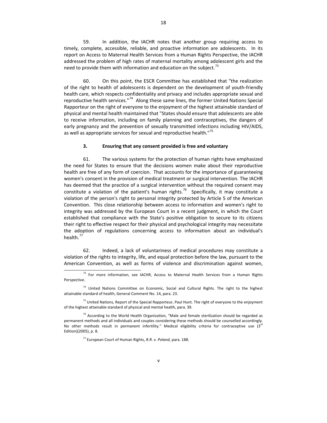59. In addition, the IACHR notes that another group requiring access to timely, complete, accessible, reliable, and proactive information are adolescents. In its report on Access to Maternal Health Services from a Human Rights Perspective, the IACHR addressed the problem of high rates of maternal mortality among adolescent girls and the need to provide them with information and education on the subject.<sup>[73](#page-22-0)</sup>

60. On this point, the ESCR Committee has established that "the realization of the right to health of adolescents is dependent on the development of youth‐friendly health care, which respects confidentiality and privacy and includes appropriate sexual and reproductive health services."<sup>[74](#page-22-1)</sup> Along these same lines, the former United Nations Special Rapporteur on the right of everyone to the enjoyment of the highest attainable standard of physical and mental health maintained that "States should ensure that adolescents are able to receive information, including on family planning and contraceptives, the dangers of early pregnancy and the prevention of sexually transmitted infections including HIV/AIDS, as well as appropriate services for sexual and reproductive health."<sup>[75](#page-22-2)</sup>

#### **3. Ensuring that any consent provided is free and voluntary**

61. The various systems for the protection of human rights have emphasized the need for States to ensure that the decisions women make about their reproductive health are free of any form of coercion. That accounts for the importance of guaranteeing women's consent in the provision of medical treatment or surgical intervention. The IACHR has deemed that the practice of a surgical intervention without the required consent may constitute a violation of the patient's human rights.<sup>[76](#page-22-3)</sup> Specifically, it may constitute a violation of the person's right to personal integrity protected by Article 5 of the American Convention. This close relationship between access to information and women's right to integrity was addressed by the European Court in a recent judgment, in which the Court established that compliance with the State's positive obligation to secure to its citizens their right to effective respect for their physical and psychological integrity may necessitate the adoption of regulations concerning access to information about an individual's health. $^{77}$  $^{77}$  $^{77}$ 

62. Indeed, a lack of voluntariness of medical procedures may constitute a violation of the rights to integrity, life, and equal protection before the law, pursuant to the American Convention, as well as forms of violence and discrimination against women,

 $73$  For more information, see IACHR, Access to Maternal Health Services from a Human Rights Perspective.

 $74$  United Nations Committee on Economic, Social and Cultural Rights. The right to the highest attainable standard of health, General Comment No. 14, para. 23.

<span id="page-22-0"></span><sup>&</sup>lt;sup>75</sup> United Nations, Report of the Special Rapporteur, Paul Hunt. The right of everyone to the enjoyment of the highest attainable standard of physical and mental health, para. 39.

<span id="page-22-4"></span><span id="page-22-3"></span><span id="page-22-2"></span><span id="page-22-1"></span> $76$  According to the World Health Organization, "Male and female sterilization should be regarded as permanent methods and all individuals and couples considering these methods should be counselled accordingly. No other methods result in permanent infertility." Medical eligibility criteria for contraceptive use  $3^{rd}$ Edition)(2005), p. 8.

<sup>77</sup> European Court of Human Rights, *R.R. v. Poland*, para. 188.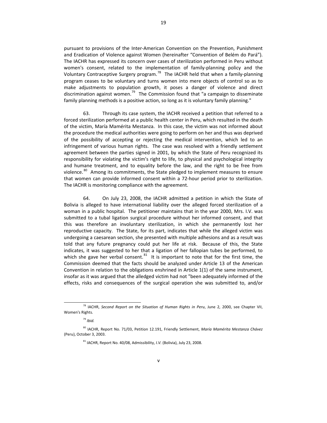pursuant to provisions of the Inter‐American Convention on the Prevention, Punishment and Eradication of Violence against Women (hereinafter "Convention of Belém do Pará"). The IACHR has expressed its concern over cases of sterilization performed in Peru without women's consent, related to the implementation of family-planning policy and the Voluntary Contraceptive Surgery program.<sup>[78](#page-23-0)</sup> The IACHR held that when a family-planning program ceases to be voluntary and turns women into mere objects of control so as to make adjustments to population growth, it poses a danger of violence and direct discrimination against women.<sup>[79](#page-23-1)</sup> The Commission found that "a campaign to disseminate family planning methods is a positive action, so long as it is voluntary family planning."

63. Through its case system, the IACHR received a petition that referred to a forced sterilization performed at a public health center in Peru, which resulted in the death of the victim, María Mamérita Mestanza. In this case, the victim was not informed about the procedure the medical authorities were going to perform on her and thus was deprived of the possibility of accepting or rejecting the medical intervention, which led to an infringement of various human rights. The case was resolved with a friendly settlement agreement between the parties signed in 2001, by which the State of Peru recognized its responsibility for violating the victim's right to life, to physical and psychological integrity and humane treatment, and to equality before the law, and the right to be free from violence.<sup>[80](#page-23-2)</sup> Among its commitments, the State pledged to implement measures to ensure that women can provide informed consent within a 72‐hour period prior to sterilization. The IACHR is monitoring compliance with the agreement.

64. On July 23, 2008, the IACHR admitted a petition in which the State of Bolivia is alleged to have international liability over the alleged forced sterilization of a woman in a public hospital. The petitioner maintains that in the year 2000, Mrs. I.V. was submitted to a tubal ligation surgical procedure without her informed consent, and that this was therefore an involuntary sterilization, in which she permanently lost her reproductive capacity. The State, for its part, indicates that while the alleged victim was undergoing a caesarean section, she presented with multiple adhesions and as a result was told that any future pregnancy could put her life at risk. Because of this, the State indicates, it was suggested to her that a ligation of her fallopian tubes be performed, to which she gave her verbal consent.<sup>[81](#page-23-3)</sup> It is important to note that for the first time, the Commission deemed that the facts should be analyzed under Article 13 of the American Convention in relation to the obligations enshrined in Article 1(1) of the same instrument, insofar as it was argued that the alledged victim had not "been adequately informed of the effects, risks and consequences of the surgical operation she was submitted to, and/or

<sup>78</sup> IACHR, *Second Report on the Situation of Human Rights in Peru*, June 2, 2000, see Chapter VII, Women's Rights.

<sup>79</sup> *Ibid.*

<span id="page-23-3"></span><span id="page-23-2"></span><span id="page-23-1"></span><span id="page-23-0"></span><sup>80</sup> IACHR, Report No. 71/03, Petition 12.191, Friendly Settlement, *María Mamérita Mestanza Chávez* (Peru), October 3, 2003.

<sup>81</sup> IACHR, Report No. 40/08, Admissibility, *I.V.* (Bolivia), July 23, 2008.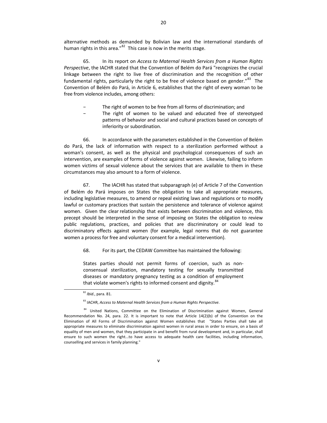alternative methods as demanded by Bolivian law and the international standards of

human rights in this area." $82$  This case is now in the merits stage.

65. In its report on *Access to Maternal Health Services from a Human Rights Perspective*, the IACHR stated that the Convention of Belém do Pará "recognizes the crucial linkage between the right to live free of discrimination and the recognition of other fundamental rights, particularly the right to be free of violence based on gender."<sup>[83](#page-24-1)</sup> The Convention of Belém do Pará, in Article 6, establishes that the right of every woman to be free from violence includes, among others:

- The right of women to be free from all forms of discrimination; and
- The right of women to be valued and educated free of stereotyped patterns of behavior and social and cultural practices based on concepts of inferiority or subordination.

66. In accordance with the parameters established in the Convention of Belém do Pará, the lack of information with respect to a sterilization performed without a woman's consent, as well as the physical and psychological consequences of such an intervention, are examples of forms of violence against women. Likewise, failing to inform women victims of sexual violence about the services that are available to them in these circumstances may also amount to a form of violence.

67. The IACHR has stated that subparagraph (e) of Article 7 of the Convention of Belém do Pará imposes on States the obligation to take all appropriate measures, including legislative measures, to amend or repeal existing laws and regulations or to modify lawful or customary practices that sustain the persistence and tolerance of violence against women. Given the clear relationship that exists between discrimination and violence, this precept should be interpreted in the sense of imposing on States the obligation to review public regulations, practices, and policies that are discriminatory or could lead to discriminatory effects against women (for example, legal norms that do not guarantee women a process for free and voluntary consent for a medical intervention).

68. For its part, the CEDAW Committee has maintained the following:

States parties should not permit forms of coercion, such as non‐ consensual sterilization, mandatory testing for sexually transmitted diseases or mandatory pregnancy testing as a condition of employment that violate women's rights to informed consent and dignity.<sup>[84](#page-24-2)</sup>

<sup>82</sup> *Ibid.*, para. 81.

<sup>83</sup> IACHR, *Access to Maternal Health Services from a Human Rights Perspective*.

<span id="page-24-2"></span><span id="page-24-1"></span><span id="page-24-0"></span><sup>&</sup>lt;sup>84</sup> United Nations, Committee on the Elimination of Discrimination against Women, General Recommendation No. 24, para. 22. It is important to note that Article 14(2)(b) of the Convention on the Elimination of All Forms of Discrimination against Women establishes that "States Parties shall take all appropriate measures to eliminate discrimination against women in rural areas in order to ensure, on a basis of equality of men and women, that they participate in and benefit from rural development and, in particular, shall ensure to such women the right...to have access to adequate health care facilities, including information, counselling and services in family planning."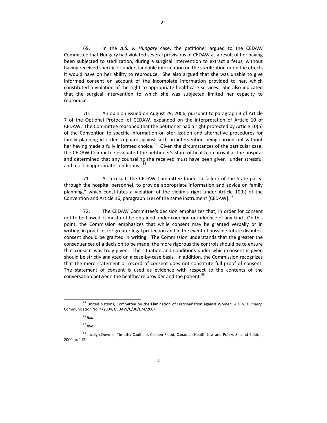69. In the *A.S. v. Hungary* case, the petitioner argued to the CEDAW Committee that Hungary had violated several provisions of CEDAW as a result of her having been subjected to sterilization, during a surgical intervention to extract a fetus, without having received specific or understandable information on the sterilization or on the effects it would have on her ability to reproduce. She also argued that she was unable to give informed consent on account of the incomplete information provided to her, which constituted a violation of the right to appropriate healthcare services. She also indicated that the surgical intervention to which she was subjected limited her capacity to reproduce.

70. An opinion issued on August 29, 2006, pursuant to paragraph 3 of Article 7 of the Optional Protocol of CEDAW, expanded on the interpretation of Article 10 of CEDAW. The Committee reasoned that the petitioner had a right protected by Article 10(h) of the Convention to specific information on sterilization and alternative procedures for family planning in order to guard against such an intervention being carried out without her having made a fully informed choice.<sup>[85](#page-25-0)</sup> Given the circumstances of the particular case, the CEDAW Committee evaluated the petitioner's state of health on arrival at the hospital and determined that any counseling she received must have been given "under stressful and most inappropriate conditions."<sup>8</sup>

71. As a result, the CEDAW Committee found "a failure of the State party, through the hospital personnel, to provide appropriate information and advice on family planning," which constitutes a violation of the victim's right under Article 10(h) of the Convention and Article 16, paragraph 1(e) of the same instrument [CEDAW].<sup>[87](#page-25-2)</sup>

72. The CEDAW Committee's decision emphasizes that, in order for consent not to be flawed, it must not be obtained under coercion or influence of any kind. On this point, the Commission emphasizes that while consent may be granted verbally or in writing, in practice, for greater legal protection and in the event of possible future disputes, consent should be granted in writing. The Commission understands that the greater the consequences of a decision to be made, the more rigorous the controls should be to ensure that consent was truly given. The situation and conditions under which consent is given should be strictly analyzed on a case‐by‐case basis. In addition, the Commission recognizes that the mere statement or record of consent does not constitute full proof of consent. The statement of consent is used as evidence with respect to the contents of the conversation between the healthcare provider and the patient.<sup>[88](#page-25-3)</sup>

 $\overline{a}$ <sup>85</sup> United Nations, Committee on the Elimination of Discrimination against Women, *A.S. v. Hungary*, Communication No. 4/2004, CEDAW/C/36/D/4/2004.

<sup>86</sup> *Ibid.*

<sup>87</sup> *Ibid.*

<span id="page-25-3"></span><span id="page-25-2"></span><span id="page-25-1"></span><span id="page-25-0"></span><sup>88</sup> Jocelyn Downie, Timothy Caulfield, Colleen Flood, Canadian Health Law and Policy, Second Edition, 2000, p. 112.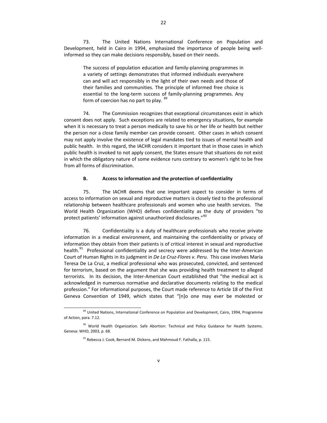73. The United Nations International Conference on Population and Development, held in Cairo in 1994, emphasized the importance of people being well‐ informed so they can make decisions responsibly, based on their needs.

The success of population education and family‐planning programmes in a variety of settings demonstrates that informed individuals everywhere can and will act responsibly in the light of their own needs and those of their families and communities. The principle of informed free choice is essential to the long-term success of family-planning programmes. Any form of coercion has no part to play. [89](#page-26-0)

74. The Commission recognizes that exceptional circumstances exist in which consent does not apply. Such exceptions are related to emergency situations, for example when it is necessary to treat a person medically to save his or her life or health but neither the person nor a close family member can provide consent. Other cases in which consent may not apply involve the existence of legal mandates tied to issues of mental health and public health. In this regard, the IACHR considers it important that in those cases in which public health is invoked to not apply consent, the States ensure that situations do not exist in which the obligatory nature of some evidence runs contrary to women's right to be free from all forms of discrimination.

#### **B. Access to information and the protection of confidentiality**

75. The IACHR deems that one important aspect to consider in terms of access to information on sexual and reproductive matters is closely tied to the professional relationship between healthcare professionals and women who use health services. The World Health Organization (WHO) defines confidentiality as the duty of providers "to protect patients' information against unauthorized disclosures."<sup>[90](#page-26-1)</sup>

76. Confidentiality is a duty of healthcare professionals who receive private information in a medical environment, and maintaining the confidentiality or privacy of information they obtain from their patients is of critical interest in sexual and reproductive health.<sup>[91](#page-26-2)</sup> Professional confidentiality and secrecy were addressed by the Inter-American Court of Human Rights in its judgment in *De La Cruz‐Flores v. Peru*. This case involves María Teresa De La Cruz, a medical professional who was prosecuted, convicted, and sentenced for terrorism, based on the argument that she was providing health treatment to alleged terrorists. In its decision, the Inter‐American Court established that "the medical act is acknowledged in numerous normative and declarative documents relating to the medical profession." For informational purposes, the Court made reference to Article 18 of the First Geneva Convention of 1949, which states that "[n]o one may ever be molested or

<sup>89</sup> United Nations, International Conference on Population and Development, Cairo, 1994, Programme of Action, para. 7.12.

<span id="page-26-2"></span><span id="page-26-1"></span><span id="page-26-0"></span><sup>&</sup>lt;sup>90</sup> World Health Organization. Safe Abortion: Technical and Policy Guidance for Health Systems. Geneva: WHO, 2003, p. 68.

<sup>&</sup>lt;sup>91</sup> Rebecca J. Cook, Bernard M. Dickens, and Mahmoud F. Fathalla, p. 115.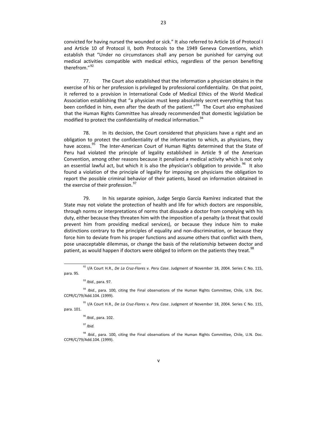convicted for having nursed the wounded or sick." It also referred to Article 16 of Protocol I and Article 10 of Protocol II, both Protocols to the 1949 Geneva Conventions, which establish that "Under no circumstances shall any person be punished for carrying out medical activities compatible with medical ethics, regardless of the person benefiting therefrom."<sup>[92](#page-27-0)</sup>

77. The Court also established that the information a physician obtains in the exercise of his or her profession is privileged by professional confidentiality. On that point, it referred to a provision in International Code of Medical Ethics of the World Medical Association establishing that "a physician must keep absolutely secret everything that has been confided in him, even after the death of the patient."<sup>[93](#page-27-1)</sup> The Court also emphasized that the Human Rights Committee has already recommended that domestic legislation be modified to protect the confidentiality of medical information.<sup>[94](#page-27-2)</sup>

78. In its decision, the Court considered that physicians have a right and an obligation to protect the confidentiality of the information to which, as physicians, they have access.<sup>[95](#page-27-3)</sup> The Inter-American Court of Human Rights determined that the State of Peru had violated the principle of legality established in Article 9 of the American Convention, among other reasons because it penalized a medical activity which is not only an essential lawful act, but which it is also the physician's obligation to provide.<sup>[96](#page-27-4)</sup> It also found a violation of the principle of legality for imposing on physicians the obligation to report the possible criminal behavior of their patients, based on information obtained in the exercise of their profession.<sup>[97](#page-27-5)</sup>

79. In his separate opinion, Judge Sergio García Ramírez indicated that the State may not violate the protection of health and life for which doctors are responsible, through norms or interpretations of norms that dissuade a doctor from complying with his duty, either because they threaten him with the imposition of a penalty (a threat that could prevent him from providing medical services), or because they induce him to make distinctions contrary to the principles of equality and non‐discrimination, or because they force him to deviate from his proper functions and assume others that conflict with them, pose unacceptable dilemmas, or change the basis of the relationship between doctor and patient, as would happen if doctors were obliged to inform on the patients they treat.<sup>[98](#page-27-6)</sup>

<sup>93</sup> *Ibid.*, para. 97.

<sup>97</sup> *Ibid.*

 $\overline{a}$ 

<span id="page-27-6"></span><span id="page-27-5"></span><span id="page-27-4"></span><span id="page-27-3"></span><span id="page-27-2"></span><sup>98</sup> *Ibid.*, para. 100, citing the Final observations of the Human Rights Committee, Chile, U.N. Doc. CCPR/C/79/Add.104. (1999).

<sup>92</sup> I/A Court H.R., *De La Cruz‐Flores v. Peru Case*. Judgment of November 18, 2004. Series C No. 115, para. 95.

<sup>94</sup> *Ibid.*, para. 100, citing the Final observations of the Human Rights Committee, Chile, U.N. Doc. CCPR/C/79/Add.104. (1999).

<span id="page-27-1"></span><span id="page-27-0"></span><sup>95</sup> I/A Court H.R., *De La Cruz‐Flores v. Peru Case*. Judgment of November 18, 2004. Series C No. 115, para. 101.

<sup>96</sup> *Ibid.*, para. 102.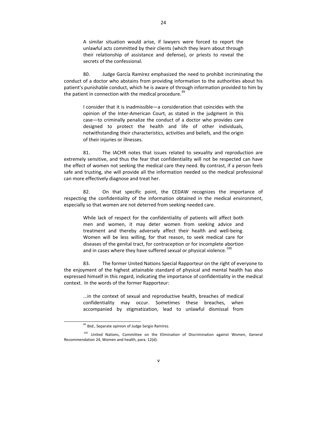A similar situation would arise, if lawyers were forced to report the unlawful acts committed by their clients (which they learn about through their relationship of assistance and defense), or priests to reveal the secrets of the confessional.

80. Judge García Ramírez emphasized the need to prohibit incriminating the conduct of a doctor who abstains from providing information to the authorities about his patient's punishable conduct, which he is aware of through information provided to him by the patient in connection with the medical procedure.<sup>[99](#page-28-0)</sup>

I consider that it is inadmissible—a consideration that coincides with the opinion of the Inter‐American Court, as stated in the judgment in this case—to criminally penalize the conduct of a doctor who provides care designed to protect the health and life of other individuals, notwithstanding their characteristics, activities and beliefs, and the origin of their injuries or illnesses.

81. The IACHR notes that issues related to sexuality and reproduction are extremely sensitive, and thus the fear that confidentiality will not be respected can have the effect of women not seeking the medical care they need. By contrast, if a person feels safe and trusting, she will provide all the information needed so the medical professional can more effectively diagnose and treat her.

82. On that specific point, the CEDAW recognizes the importance of respecting the confidentiality of the information obtained in the medical environment, especially so that women are not deterred from seeking needed care.

While lack of respect for the confidentiality of patients will affect both men and women, it may deter women from seeking advice and treatment and thereby adversely affect their health and well‐being. Women will be less willing, for that reason, to seek medical care for diseases of the genital tract, for contraception or for incomplete abortion and in cases where they have suffered sexual or physical violence. $100$ 

83. The former United Nations Special Rapporteur on the right of everyone to the enjoyment of the highest attainable standard of physical and mental health has also expressed himself in this regard, indicating the importance of confidentiality in the medical context. In the words of the former Rapporteur:

...in the context of sexual and reproductive health, breaches of medical confidentiality may occur. Sometimes these breaches, when accompanied by stigmatization, lead to unlawful dismissal from

<sup>99</sup> *Ibid.*, Separate opinion of Judge Sergio Ramírez.

<span id="page-28-1"></span><span id="page-28-0"></span><sup>&</sup>lt;sup>100</sup> United Nations, Committee on the Elimination of Discrimination against Women, General Recommendation 24, Women and health, para. 12(d).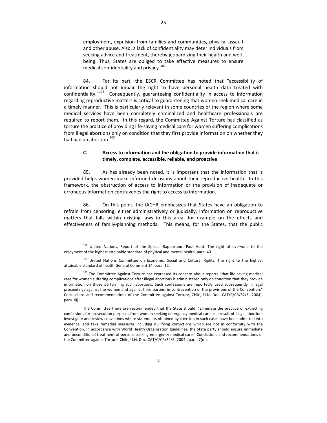employment, expulsion from families and communities, physical assault and other abuse. Also, a lack of confidentiality may deter individuals from seeking advice and treatment, thereby jeopardizing their health and well‐ being. Thus, States are obliged to take effective measures to ensure medical confidentiality and privacy.<sup>[101](#page-29-0)</sup>

84. For its part, the ESCR Committee has noted that "accessibility of information should not impair the right to have personal health data treated with confidentiality."<sup>[102](#page-29-1)</sup> Consequently, guaranteeing confidentiality in access to information regarding reproductive matters is critical to guaranteeing that women seek medical care in a timely manner. This is particularly relevant in some countries of the region where some medical services have been completely criminalized and healthcare professionals are required to report them. In this regard, the Committee Against Torture has classified as torture the practice of providing life‐saving medical care for women suffering complications from illegal abortions only on condition that they first provide information on whether they had had an abortion.<sup>[103](#page-29-2)</sup>

#### **C. Access to information and the obligation to provide information that is timely, complete, accessible, reliable, and proactive**

85. As has already been noted, it is important that the information that is provided helps women make informed decisions about their reproductive health. In this framework, the obstruction of access to information or the provision of inadequate or erroneous information contravenes the right to access to information.

86. On this point, the IACHR emphasizes that States have an obligation to refrain from censoring, either administratively or judicially, information on reproductive matters that falls within existing laws in this area, for example on the effects and effectiveness of family-planning methods. This means, for the States, that the public

 $\overline{a}$ <sup>101</sup> United Nations, Report of the Special Rapporteur, Paul Hunt. The right of everyone to the enjoyment of the highest attainable standard of physical and mental health, para. 40.

<sup>&</sup>lt;sup>102</sup> United Nations Committee on Economic, Social and Cultural Rights. The right to the highest attainable standard of health General Comment 14, para. 12.

<span id="page-29-0"></span><sup>103</sup> The Committee Against Torture has expressed its concern about reports "that life-saving medical care for women suffering complications after illegal abortions is administered only on condition that they provide information on those performing such abortions. Such confessions are reportedly used subsequently in legal proceedings against the women and against third parties, in contravention of the provisions of the Convention." Conclusions and recommendations of the Committee against Torture, Chile, U.N. Doc. CAT/C/CR/32/5 (2004), para. 6(j).

<span id="page-29-2"></span><span id="page-29-1"></span>The Committee therefore recommended that the State should: "Eliminate the practice of extracting confessions for prosecution purposes from women seeking emergency medical care as a result of illegal abortion; investigate and review convictions where statements obtained by coercion in such cases have been admitted into evidence, and take remedial measures including nullifying convictions which are not in conformity with the Convention. In accordance with World Health Organization guidelines, the State party should ensure immediate and unconditional treatment of persons seeking emergency medical care." Conclusions and recommendations of the Committee against Torture, Chile, U.N. Doc. CAT/C/CR/32/5 (2004), para. 7(m).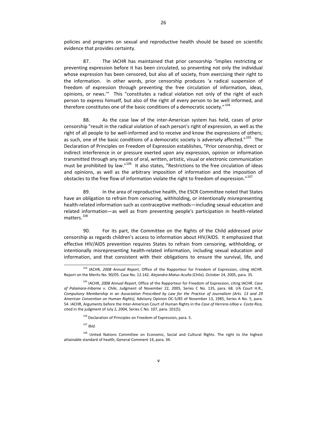policies and programs on sexual and reproductive health should be based on scientific evidence that provides certainty.

87. The IACHR has maintained that prior censorship *"*implies restricting or preventing expression before it has been circulated, so preventing not only the individual whose expression has been censored, but also all of society, from exercising their right to the information. In other words, prior censorship produces 'a radical suspension of freedom of expression through preventing the free circulation of information, ideas, opinions, or news.'" This "constitutes a radical violation not only of the right of each person to express himself, but also of the right of every person to be well informed, and therefore constitutes one of the basic conditions of a democratic society."  $^{104}$  $^{104}$  $^{104}$ 

88. As the case law of the inter-American system has held, cases of prior censorship "result in the radical violation of each person's right of expression, as well as the right of all people to be well-informed and to receive and know the expressions of others; as such, one of the basic conditions of a democratic society is adversely affected."<sup>[105](#page-30-1)</sup> The Declaration of Principles on Freedom of Expression establishes, "Prior censorship, direct or indirect interference in or pressure exerted upon any expression, opinion or information transmitted through any means of oral, written, artistic, visual or electronic communication must be prohibited by law."<sup>[106](#page-30-2)</sup> It also states, "Restrictions to the free circulation of ideas and opinions, as well as the arbitrary imposition of information and the imposition of obstacles to the free flow of information violate the right to freedom of expression."<sup>[107](#page-30-3)</sup>

89. In the area of reproductive health, the ESCR Committee noted that States have an obligation to refrain from censoring, withholding, or intentionally misrepresenting health-related information such as contraceptive methods—including sexual education and related information—as well as from preventing people's participation in health‐related matters.<sup>[108](#page-30-4)</sup>

90. For its part, the Committee on the Rights of the Child addressed prior censorship as regards children's access to information about HIV/AIDS. It emphasized that effective HIV/AIDS prevention requires States to refrain from censoring, withholding, or intentionally misrepresenting health‐related information, including sexual education and information, and that consistent with their obligations to ensure the survival, life, and

 $\overline{a}$ <sup>104</sup> IACHR, *2008 Annual Report*, Office of the Rapporteur for Freedom of Expression, citing IACHR. Report on the Merits No. 90/05. Case No. 12.142. *Alejandra Matus Acuña* (Chile). October 24, 2005, para. 35.

<span id="page-30-0"></span><sup>105</sup> IACHR, *2008 Annual Report*, Office of the Rapporteur for Freedom of Expression, citing IACHR. *Case of Palamara‐Iribarne v. Chile*, Judgment of November 22, 2005, Series C No. 135, para. 68. I/A Court H.R., *Compulsory Membership in an Association Prescribed by Law for the Practice of Journalism (Arts. 13 and 29 American Convention on Human Rights),* Advisory Opinion OC‐5/85 of November 13, 1985, Series A No. 5, para. 54. IACHR, Arguments before the Inter‐American Court of Human Rights in the *Case of Herrera‐Ulloa v. Costa Rica*, cited in the judgment of July 2, 2004, Series C No. 107, para. 101(5).

<sup>&</sup>lt;sup>106</sup> Declaration of Principles on Freedom of Expression, para. 5.

<sup>107</sup> *Ibid.*

<span id="page-30-4"></span><span id="page-30-3"></span><span id="page-30-2"></span><span id="page-30-1"></span><sup>&</sup>lt;sup>108</sup> United Nations Committee on Economic, Social and Cultural Rights. The right to the highest attainable standard of health, General Comment 14, para. 34.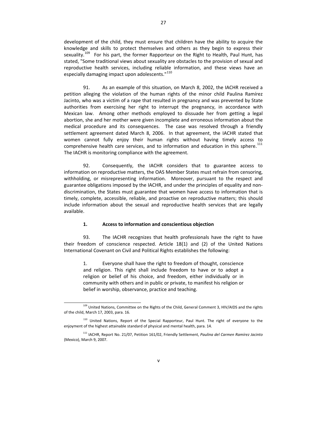development of the child, they must ensure that children have the ability to acquire the knowledge and skills to protect themselves and others as they begin to express their sexuality.<sup>[109](#page-31-0)</sup> For his part, the former Rapporteur on the Right to Health, Paul Hunt, has stated, "Some traditional views about sexuality are obstacles to the provision of sexual and reproductive health services, including reliable information, and these views have an especially damaging impact upon adolescents."<sup>[110](#page-31-1)</sup>

91. As an example of this situation, on March 8, 2002, the IACHR received a petition alleging the violation of the human rights of the minor child Paulina Ramírez Jacinto, who was a victim of a rape that resulted in pregnancy and was prevented by State authorities from exercising her right to interrupt the pregnancy, in accordance with Mexican law. Among other methods employed to dissuade her from getting a legal abortion, she and her mother were given incomplete and erroneous information about the medical procedure and its consequences. The case was resolved through a friendly settlement agreement dated March 8, 2006. In that agreement, the IACHR stated that women cannot fully enjoy their human rights without having timely access to comprehensive health care services, and to information and education in this sphere. $^{111}$  $^{111}$  $^{111}$ The IACHR is monitoring compliance with the agreement.

92. Consequently, the IACHR considers that to guarantee access to information on reproductive matters, the OAS Member States must refrain from censoring, withholding, or misrepresenting information. Moreover, pursuant to the respect and guarantee obligations imposed by the IACHR, and under the principles of equality and non‐ discrimination, the States must guarantee that women have access to information that is timely, complete, accessible, reliable, and proactive on reproductive matters; this should include information about the sexual and reproductive health services that are legally available.

#### **1. Access to information and conscientious objection**

93. The IACHR recognizes that health professionals have the right to have their freedom of conscience respected. Article 18(1) and (2) of the United Nations International Covenant on Civil and Political Rights establishes the following:

1. Everyone shall have the right to freedom of thought, conscience and religion. This right shall include freedom to have or to adopt a religion or belief of his choice, and freedom, either individually or in community with others and in public or private, to manifest his religion or belief in worship, observance, practice and teaching.

 $\overline{a}$ <sup>109</sup> United Nations, Committee on the Rights of the Child, General Comment 3, HIV/AIDS and the rights of the child, March 17, 2003, para. 16.

<sup>&</sup>lt;sup>110</sup> United Nations, Report of the Special Rapporteur, Paul Hunt. The right of everyone to the enjoyment of the highest attainable standard of physical and mental health, para. 14.

<span id="page-31-2"></span><span id="page-31-1"></span><span id="page-31-0"></span><sup>111</sup> IACHR, Report No. 21/07, Petition 161/02, Friendly Settlement, *Paulina del Carmen Ramírez Jacinto* (Mexico), March 9, 2007.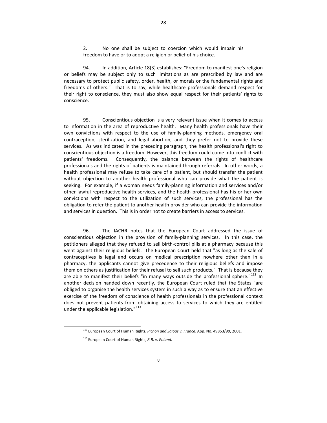2. No one shall be subject to coercion which would impair his freedom to have or to adopt a religion or belief of his choice.

94. In addition, Article 18(3) establishes: "Freedom to manifest one's religion or beliefs may be subject only to such limitations as are prescribed by law and are necessary to protect public safety, order, health, or morals or the fundamental rights and freedoms of others." That is to say, while healthcare professionals demand respect for their right to conscience, they must also show equal respect for their patients' rights to conscience.

95. Conscientious objection is a very relevant issue when it comes to access to information in the area of reproductive health. Many health professionals have their own convictions with respect to the use of family‐planning methods, emergency oral contraception, sterilization, and legal abortion, and they prefer not to provide these services. As was indicated in the preceding paragraph, the health professional's right to conscientious objection is a freedom. However, this freedom could come into conflict with patients' freedoms. Consequently, the balance between the rights of healthcare professionals and the rights of patients is maintained through referrals. In other words, a health professional may refuse to take care of a patient, but should transfer the patient without objection to another health professional who can provide what the patient is seeking. For example, if a woman needs family‐planning information and services and/or other lawful reproductive health services, and the health professional has his or her own convictions with respect to the utilization of such services, the professional has the obligation to refer the patient to another health provider who can provide the information and services in question. This is in order not to create barriers in access to services.

96. The IACHR notes that the European Court addressed the issue of conscientious objection in the provision of family-planning services. In this case, the petitioners alleged that they refused to sell birth‐control pills at a pharmacy because this went against their religious beliefs. The European Court held that "as long as the sale of contraceptives is legal and occurs on medical prescription nowhere other than in a pharmacy, the applicants cannot give precedence to their religious beliefs and impose them on others as justification for their refusal to sell such products." That is because they are able to manifest their beliefs "in many ways outside the professional sphere." $^{112}$  $^{112}$  $^{112}$  In another decision handed down recently, the European Court ruled that the States "are obliged to organise the health services system in such a way as to ensure that an effective exercise of the freedom of conscience of health professionals in the professional context does not prevent patients from obtaining access to services to which they are entitled under the applicable legislation."<sup>[113](#page-32-1)</sup>

<sup>112</sup> European Court of Human Rights, *Pichon and Sajous v. France*. App. No. 49853/99, 2001.

<span id="page-32-1"></span><span id="page-32-0"></span><sup>113</sup> European Court of Human Rights, *R.R. v. Poland*.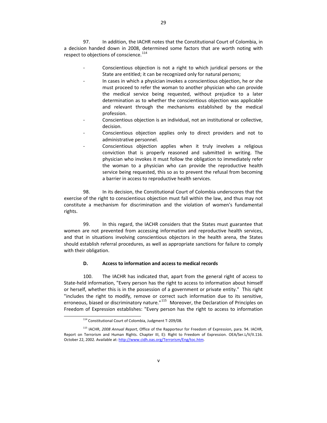97. In addition, the IACHR notes that the Constitutional Court of Colombia, in a decision handed down in 2008, determined some factors that are worth noting with respect to objections of conscience.<sup>[114](#page-33-0)</sup>

- ‐ Conscientious objection is not a right to which juridical persons or the State are entitled; it can be recognized only for natural persons;
- In cases in which a physician invokes a conscientious objection, he or she must proceed to refer the woman to another physician who can provide the medical service being requested, without prejudice to a later determination as to whether the conscientious objection was applicable and relevant through the mechanisms established by the medical profession.
- ‐ Conscientious objection is an individual, not an institutional or collective, decision.
- Conscientious objection applies only to direct providers and not to administrative personnel.
- ‐ Conscientious objection applies when it truly involves a religious conviction that is properly reasoned and submitted in writing. The physician who invokes it must follow the obligation to immediately refer the woman to a physician who can provide the reproductive health service being requested, this so as to prevent the refusal from becoming a barrier in access to reproductive health services.

98. In its decision, the Constitutional Court of Colombia underscores that the exercise of the right to conscientious objection must fall within the law, and thus may not constitute a mechanism for discrimination and the violation of women's fundamental rights.

99. In this regard, the IACHR considers that the States must guarantee that women are not prevented from accessing information and reproductive health services, and that in situations involving conscientious objectors in the health arena, the States should establish referral procedures, as well as appropriate sanctions for failure to comply with their obligation.

#### **D. Access to information and access to medical records**

100. The IACHR has indicated that, apart from the general right of access to State-held information, "Every person has the right to access to information about himself or herself, whether this is in the possession of a government or private entity." This right "includes the right to modify, remove or correct such information due to its sensitive, erroneous, biased or discriminatory nature."<sup>[115](#page-33-1)</sup> Moreover, the Declaration of Principles on Freedom of Expression establishes: "Every person has the right to access to information

<sup>114</sup> Constitutional Court of Colombia, Judgment T‐209/08.

<span id="page-33-1"></span><span id="page-33-0"></span><sup>115</sup> IACHR, *2008 Annual Report*, Office of the Rapporteur for Freedom of Expression, para. 94. IACHR, Report on Terrorism and Human Rights. Chapter III, E): Right to Freedom of Expression. OEA/Ser.L/V/II.116. October 22, 2002. Available at: <http://www.cidh.oas.org/Terrorism/Eng/toc.htm>.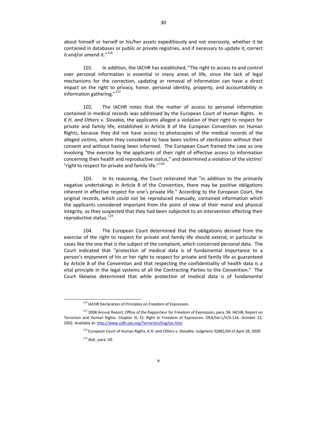about himself or herself or his/her assets expeditiously and not onerously, whether it be contained in databases or public or private registries, and if necessary to update it, correct it and/or amend it."<sup>[116](#page-34-0)</sup>

101. In addition, the IACHR has established, "The right to access to and control over personal information is essential in many areas of life, since the lack of legal mechanisms for the correction, updating or removal of information can have a direct impact on the right to privacy, honor, personal identity, property, and accountability in information gathering."<sup>[117](#page-34-1)</sup>

102. The IACHR notes that the matter of access to personal information contained in medical records was addressed by the European Court of Human Rights. In *K.H. and Others v. Slovakia*, the applicants alleged a violation of their right to respect for private and family life, established in Article 8 of the European Convention on Human Rights, because they did not have access to photocopies of the medical records of the alleged victims, whom they considered to have been victims of sterilization without their consent and without having been informed. The European Court framed the case as one involving "the exercise by the applicants of their right of effective access to information concerning their health and reproductive status," and determined a violation of the victims' "right to respect for private and family life."<sup>[118](#page-34-2)</sup>

103. In its reasoning, the Court reiterated that "in addition to the primarily negative undertakings in Article 8 of the Convention, there may be positive obligations inherent in effective respect for one's private life." According to the European Court, the original records, which could not be reproduced manually, contained information which the applicants considered important from the point of view of their moral and physical integrity, as they suspected that they had been subjected to an intervention affecting their reproductive status.<sup>[119](#page-34-3)</sup>

104. The European Court determined that the obligations derived from the exercise of the right to respect for private and family life should extend, in particular in cases like the one that is the subject of the complaint, which concerned personal data. The Court indicated that "protection of medical data is of fundamental importance to a person's enjoyment of his or her right to respect for private and family life as guaranteed by Article 8 of the Convention and that respecting the confidentiality of health data is a vital principle in the legal systems of all the Contracting Parties to the Convention." The Court likewise determined that while protection of medical data is of fundamental

<sup>&</sup>lt;sup>116</sup> IACHR Declaration of Principles on Freedom of Expression.

<span id="page-34-3"></span><span id="page-34-2"></span><span id="page-34-1"></span><span id="page-34-0"></span><sup>&</sup>lt;sup>117</sup> 2008 Annual Report, Office of the Rapporteur for Freedom of Expression, para. 94. IACHR, Report on Terrorism and Human Rights. Chapter III, E): Right to Freedom of Expression. OEA/Ser.L/V/II.116. October 22, 2002. Available at: <http://www.cidh.oas.org/Terrorism/Eng/toc.htm>.

<sup>118</sup> European Court of Human Rights, *K.H. and Others v. Slovakia*, Judgment 32881/04 of April 28, 2009.

<sup>119</sup> *Ibid.*, para. 50.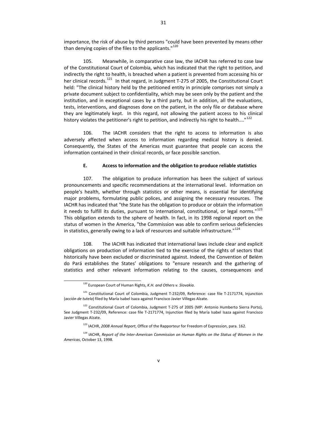importance, the risk of abuse by third persons "could have been prevented by means other than denying copies of the files to the applicants."<sup>[120](#page-35-0)</sup>

105. Meanwhile, in comparative case law, the IACHR has referred to case law of the Constitutional Court of Colombia, which has indicated that the right to petition, and indirectly the right to health, is breached when a patient is prevented from accessing his or her clinical records.<sup>[121](#page-35-1)</sup> In that regard, in Judgment T-275 of 2005, the Constitutional Court held: "The clinical history held by the petitioned entity in principle comprises not simply a private document subject to confidentiality, which may be seen only by the patient and the institution, and in exceptional cases by a third party, but in addition, all the evaluations, tests, interventions, and diagnoses done on the patient, in the only file or database where they are legitimately kept. In this regard, not allowing the patient access to his clinical history violates the petitioner's right to petition, and indirectly his right to health...."<sup>[122](#page-35-2)</sup>

106. The IACHR considers that the right to access to information is also adversely affected when access to information regarding medical history is denied. Consequently, the States of the Americas must guarantee that people can access the information contained in their clinical records, or face possible sanction.

#### **E. Access to information and the obligation to produce reliable statistics**

107. The obligation to produce information has been the subject of various pronouncements and specific recommendations at the international level. Information on people's health, whether through statistics or other means, is essential for identifying major problems, formulating public polices, and assigning the necessary resources. The IACHR has indicated that "the State has the obligation to produce or obtain the information it needs to fulfill its duties, pursuant to international, constitutional, or legal norms."<sup>[123](#page-35-3)</sup> This obligation extends to the sphere of health. In fact, in its 1998 regional report on the status of women in the America, "the Commission was able to confirm serious deficiencies in statistics, generally owing to a lack of resources and suitable infrastructure."<sup>[124](#page-35-4)</sup>

108. The IACHR has indicated that international laws include clear and explicit obligations on production of information tied to the exercise of the rights of sectors that historically have been excluded or discriminated against. Indeed, the Convention of Belém do Pará establishes the States' obligations to "ensure research and the gathering of statistics and other relevant information relating to the causes, consequences and

 $\overline{a}$ 

v

<sup>120</sup> European Court of Human Rights, *K.H. and Others v. Slovakia*.

<sup>121</sup> Constitutional Court of Colombia, Judgment T-232/09, Reference: case file T-2171774, Injunction (*acción de tutela*) filed by María Isabel Isaza against Francisco Javier Villegas Alzate.

<span id="page-35-0"></span><sup>&</sup>lt;sup>122</sup> Constitutional Court of Colombia, Judgment T-275 of 2005 (MP: Antonio Humberto Sierra Porto), See Judgment T‐232/09, Reference: case file T‐2171774, Injunction filed by María Isabel Isaza against Francisco Javier Villegas Alzate.

<sup>123</sup> IACHR, *2008 Annual Report*, Office of the Rapporteur for Freedom of Expression, para. 162.

<span id="page-35-4"></span><span id="page-35-3"></span><span id="page-35-2"></span><span id="page-35-1"></span><sup>124</sup> IACHR, *Report of the Inter‐American Commission on Human Rights on the Status of Women in the Americas*, October 13, 1998.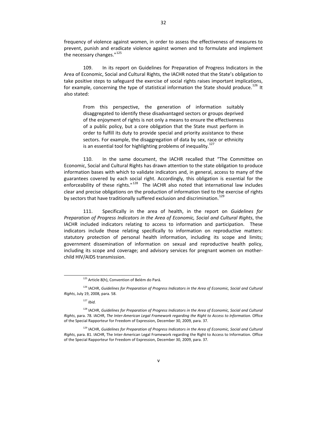frequency of violence against women, in order to assess the effectiveness of measures to prevent, punish and eradicate violence against women and to formulate and implement the necessary changes."<sup>[125](#page-36-0)</sup>

109. In its report on Guidelines for Preparation of Progress Indicators in the Area of Economic, Social and Cultural Rights, the IACHR noted that the State's obligation to take positive steps to safeguard the exercise of social rights raises important implications, for example, concerning the type of statistical information the State should produce.<sup>[126](#page-36-1)</sup> It also stated:

From this perspective, the generation of information suitably disaggregated to identify these disadvantaged sectors or groups deprived of the enjoyment of rights is not only a means to ensure the effectiveness of a public policy, but a core obligation that the State must perform in order to fulfill its duty to provide special and priority assistance to these sectors. For example, the disaggregation of data by sex, race or ethnicity is an essential tool for highlighting problems of inequality.<sup>[127](#page-36-2)</sup>

110. In the same document, the IACHR recalled that "The Committee on Economic, Social and Cultural Rights has drawn attention to the state obligation to produce information bases with which to validate indicators and, in general, access to many of the guarantees covered by each social right. Accordingly, this obligation is essential for the enforceability of these rights."<sup>[128](#page-36-3)</sup> The IACHR also noted that international law includes clear and precise obligations on the production of information tied to the exercise of rights by sectors that have traditionally suffered exclusion and discrimination.<sup>[129](#page-36-4)</sup>

111. Specifically in the area of health, in the report on *Guidelines for Preparation of Progress Indicators in the Area of Economic, Social and Cultural Rights*, the IACHR included indicators relating to access to information and participation. These indicators include those relating specifically to information on reproductive matters: statutory protection of personal health information, including its scope and limits; government dissemination of information on sexual and reproductive health policy, including its scope and coverage; and advisory services for pregnant women on mother‐ child HIV/AIDS transmission.

<sup>&</sup>lt;sup>125</sup> Article 8(h), Convention of Belém do Pará.

<sup>126</sup> IACHR, *Guidelines for Preparation of Progress Indicators in the Area of Economic, Social and Cultural Rights*, July 19, 2008, para. 58.

<sup>127</sup> *Ibid.*

<span id="page-36-0"></span><sup>128</sup> IACHR, *Guidelines for Preparation of Progress Indicators in the Area of Economic, Social and Cultural Rights*, para. 78. IACHR, *The Inter‐American Legal Framework regarding the Right to Access to Information*. Office of the Special Rapporteur for Freedom of Expression, December 30, 2009, para. 37.

<span id="page-36-4"></span><span id="page-36-3"></span><span id="page-36-2"></span><span id="page-36-1"></span><sup>129</sup> IACHR, *Guidelines for Preparation of Progress Indicators in the Area of Economic, Social and Cultural Rights*, para. 81. IACHR, The Inter‐American Legal Framework regarding the Right to Access to Information. Office of the Special Rapporteur for Freedom of Expression, December 30, 2009, para. 37.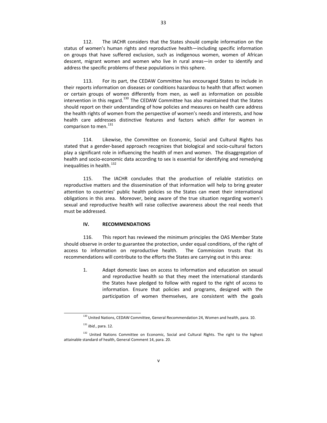112. The IACHR considers that the States should compile information on the status of women's human rights and reproductive health—including specific information on groups that have suffered exclusion, such as indigenous women, women of African descent, migrant women and women who live in rural areas—in order to identify and address the specific problems of these populations in this sphere.

113. For its part, the CEDAW Committee has encouraged States to include in their reports information on diseases or conditions hazardous to health that affect women or certain groups of women differently from men, as well as information on possible intervention in this regard.<sup>[130](#page-37-0)</sup> The CEDAW Committee has also maintained that the States should report on their understanding of how policies and measures on health care address the health rights of women from the perspective of women's needs and interests, and how health care addresses distinctive features and factors which differ for women in comparison to men.<sup>[131](#page-37-1)</sup>

114. Likewise, the Committee on Economic, Social and Cultural Rights has stated that a gender‐based approach recognizes that biological and socio‐cultural factors play a significant role in influencing the health of men and women. The disaggregation of health and socio-economic data according to sex is essential for identifying and remedying inequalities in health.<sup>[132](#page-37-2)</sup>

115. The IACHR concludes that the production of reliable statistics on reproductive matters and the dissemination of that information will help to bring greater attention to countries' public health policies so the States can meet their international obligations in this area. Moreover, being aware of the true situation regarding women's sexual and reproductive health will raise collective awareness about the real needs that must be addressed.

#### **IV. RECOMMENDATIONS**

116. This report has reviewed the minimum principles the OAS Member State should observe in order to guarantee the protection, under equal conditions, of the right of access to information on reproductive health. The Commission trusts that its recommendations will contribute to the efforts the States are carrying out in this area:

1. Adapt domestic laws on access to information and education on sexual and reproductive health so that they meet the international standards the States have pledged to follow with regard to the right of access to information. Ensure that policies and programs, designed with the participation of women themselves, are consistent with the goals

<sup>&</sup>lt;sup>130</sup> United Nations, CEDAW Committee, General Recommendation 24, Women and health, para. 10.

<sup>131</sup> *Ibid.*, para. 12.

<span id="page-37-2"></span><span id="page-37-1"></span><span id="page-37-0"></span><sup>&</sup>lt;sup>132</sup> United Nations Committee on Economic, Social and Cultural Rights. The right to the highest attainable standard of health, General Comment 14, para. 20.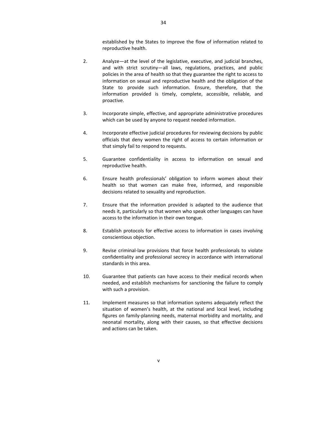established by the States to improve the flow of information related to reproductive health.

- 2. Analyze—at the level of the legislative, executive, and judicial branches, and with strict scrutiny—all laws, regulations, practices, and public policies in the area of health so that they guarantee the right to access to information on sexual and reproductive health and the obligation of the State to provide such information. Ensure, therefore, that the information provided is timely, complete, accessible, reliable, and proactive.
- 3. Incorporate simple, effective, and appropriate administrative procedures which can be used by anyone to request needed information.
- 4. Incorporate effective judicial procedures for reviewing decisions by public officials that deny women the right of access to certain information or that simply fail to respond to requests.
- 5. Guarantee confidentiality in access to information on sexual and reproductive health.
- 6. Ensure health professionals' obligation to inform women about their health so that women can make free, informed, and responsible decisions related to sexuality and reproduction.
- 7. Ensure that the information provided is adapted to the audience that needs it, particularly so that women who speak other languages can have access to the information in their own tongue.
- 8. Establish protocols for effective access to information in cases involving conscientious objection.
- 9. Revise criminal-law provisions that force health professionals to violate confidentiality and professional secrecy in accordance with international standards in this area.
- 10. Guarantee that patients can have access to their medical records when needed, and establish mechanisms for sanctioning the failure to comply with such a provision.
- 11. Implement measures so that information systems adequately reflect the situation of women's health, at the national and local level, including figures on family‐planning needs, maternal morbidity and mortality, and neonatal mortality, along with their causes, so that effective decisions and actions can be taken.